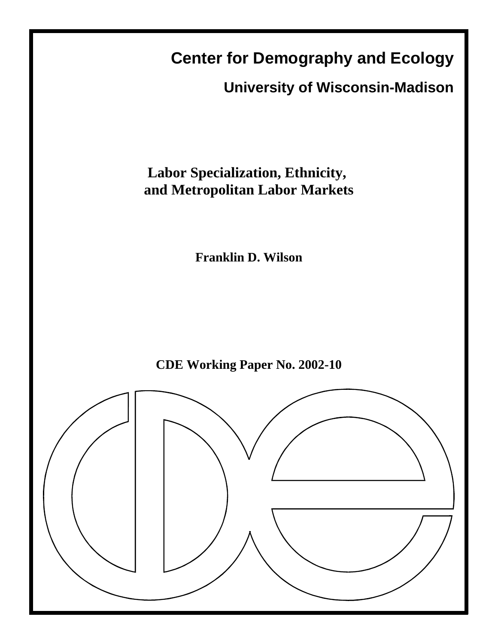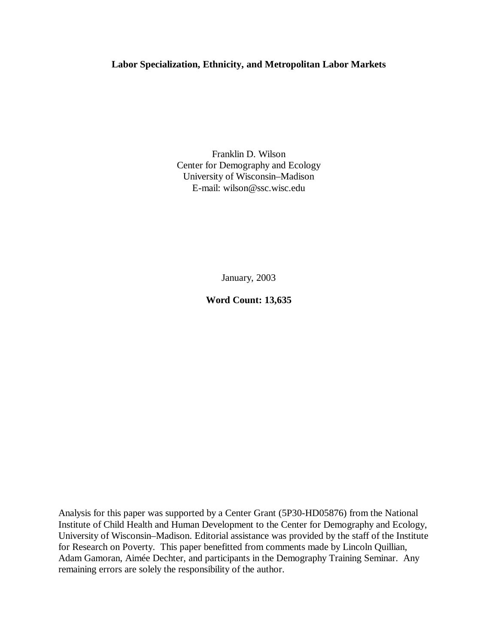## **Labor Specialization, Ethnicity, and Metropolitan Labor Markets**

Franklin D. Wilson Center for Demography and Ecology University of Wisconsin–Madison E-mail: wilson@ssc.wisc.edu

January, 2003

**Word Count: 13,635**

Analysis for this paper was supported by a Center Grant (5P30-HD05876) from the National Institute of Child Health and Human Development to the Center for Demography and Ecology, University of Wisconsin–Madison. Editorial assistance was provided by the staff of the Institute for Research on Poverty. This paper benefitted from comments made by Lincoln Quillian, Adam Gamoran, Aimée Dechter, and participants in the Demography Training Seminar. Any remaining errors are solely the responsibility of the author.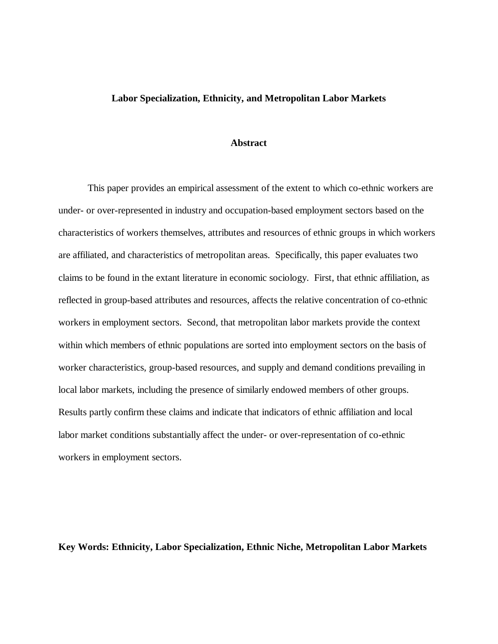#### **Labor Specialization, Ethnicity, and Metropolitan Labor Markets**

## **Abstract**

This paper provides an empirical assessment of the extent to which co-ethnic workers are under- or over-represented in industry and occupation-based employment sectors based on the characteristics of workers themselves, attributes and resources of ethnic groups in which workers are affiliated, and characteristics of metropolitan areas. Specifically, this paper evaluates two claims to be found in the extant literature in economic sociology. First, that ethnic affiliation, as reflected in group-based attributes and resources, affects the relative concentration of co-ethnic workers in employment sectors. Second, that metropolitan labor markets provide the context within which members of ethnic populations are sorted into employment sectors on the basis of worker characteristics, group-based resources, and supply and demand conditions prevailing in local labor markets, including the presence of similarly endowed members of other groups. Results partly confirm these claims and indicate that indicators of ethnic affiliation and local labor market conditions substantially affect the under- or over-representation of co-ethnic workers in employment sectors.

**Key Words: Ethnicity, Labor Specialization, Ethnic Niche, Metropolitan Labor Markets**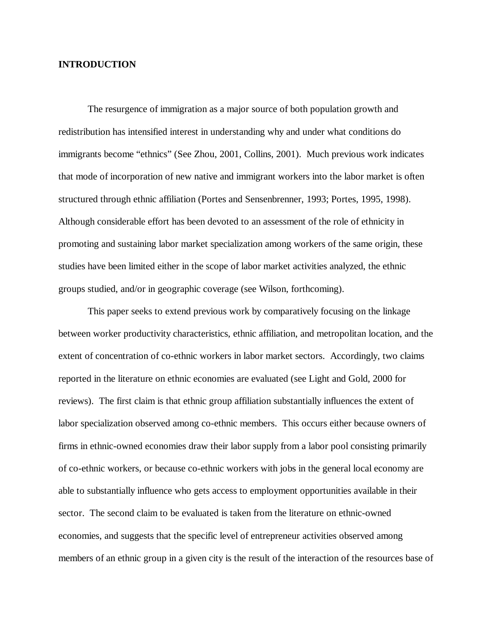## **INTRODUCTION**

The resurgence of immigration as a major source of both population growth and redistribution has intensified interest in understanding why and under what conditions do immigrants become "ethnics" (See Zhou, 2001, Collins, 2001). Much previous work indicates that mode of incorporation of new native and immigrant workers into the labor market is often structured through ethnic affiliation (Portes and Sensenbrenner, 1993; Portes, 1995, 1998). Although considerable effort has been devoted to an assessment of the role of ethnicity in promoting and sustaining labor market specialization among workers of the same origin, these studies have been limited either in the scope of labor market activities analyzed, the ethnic groups studied, and/or in geographic coverage (see Wilson, forthcoming).

This paper seeks to extend previous work by comparatively focusing on the linkage between worker productivity characteristics, ethnic affiliation, and metropolitan location, and the extent of concentration of co-ethnic workers in labor market sectors. Accordingly, two claims reported in the literature on ethnic economies are evaluated (see Light and Gold, 2000 for reviews). The first claim is that ethnic group affiliation substantially influences the extent of labor specialization observed among co-ethnic members. This occurs either because owners of firms in ethnic-owned economies draw their labor supply from a labor pool consisting primarily of co-ethnic workers, or because co-ethnic workers with jobs in the general local economy are able to substantially influence who gets access to employment opportunities available in their sector. The second claim to be evaluated is taken from the literature on ethnic-owned economies, and suggests that the specific level of entrepreneur activities observed among members of an ethnic group in a given city is the result of the interaction of the resources base of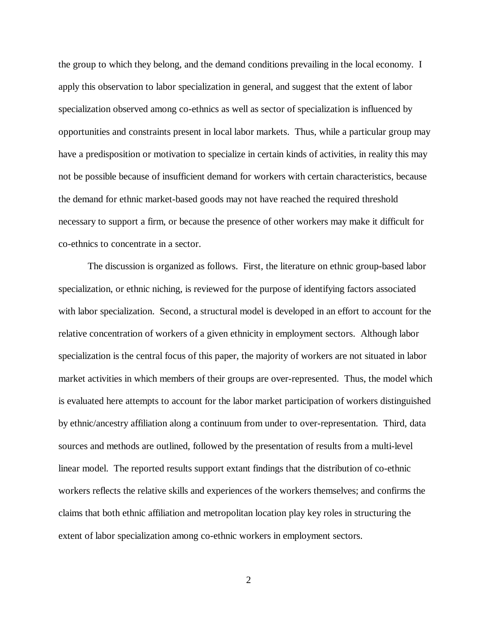the group to which they belong, and the demand conditions prevailing in the local economy. I apply this observation to labor specialization in general, and suggest that the extent of labor specialization observed among co-ethnics as well as sector of specialization is influenced by opportunities and constraints present in local labor markets. Thus, while a particular group may have a predisposition or motivation to specialize in certain kinds of activities, in reality this may not be possible because of insufficient demand for workers with certain characteristics, because the demand for ethnic market-based goods may not have reached the required threshold necessary to support a firm, or because the presence of other workers may make it difficult for co-ethnics to concentrate in a sector.

The discussion is organized as follows. First, the literature on ethnic group-based labor specialization, or ethnic niching, is reviewed for the purpose of identifying factors associated with labor specialization. Second, a structural model is developed in an effort to account for the relative concentration of workers of a given ethnicity in employment sectors. Although labor specialization is the central focus of this paper, the majority of workers are not situated in labor market activities in which members of their groups are over-represented. Thus, the model which is evaluated here attempts to account for the labor market participation of workers distinguished by ethnic/ancestry affiliation along a continuum from under to over-representation. Third, data sources and methods are outlined, followed by the presentation of results from a multi-level linear model. The reported results support extant findings that the distribution of co-ethnic workers reflects the relative skills and experiences of the workers themselves; and confirms the claims that both ethnic affiliation and metropolitan location play key roles in structuring the extent of labor specialization among co-ethnic workers in employment sectors.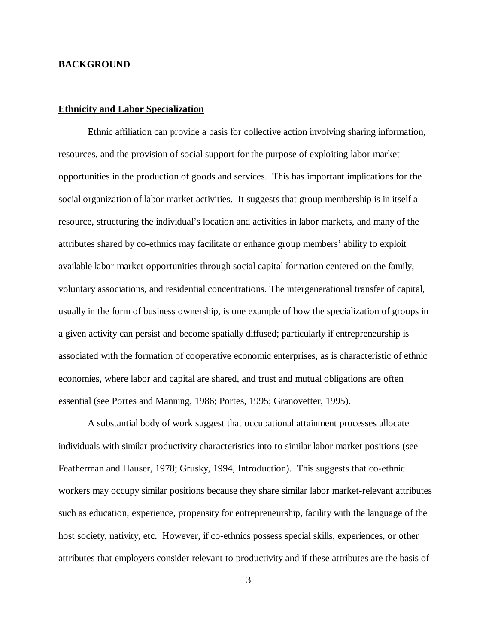## **BACKGROUND**

#### **Ethnicity and Labor Specialization**

Ethnic affiliation can provide a basis for collective action involving sharing information, resources, and the provision of social support for the purpose of exploiting labor market opportunities in the production of goods and services. This has important implications for the social organization of labor market activities. It suggests that group membership is in itself a resource, structuring the individual's location and activities in labor markets, and many of the attributes shared by co-ethnics may facilitate or enhance group members' ability to exploit available labor market opportunities through social capital formation centered on the family, voluntary associations, and residential concentrations. The intergenerational transfer of capital, usually in the form of business ownership, is one example of how the specialization of groups in a given activity can persist and become spatially diffused; particularly if entrepreneurship is associated with the formation of cooperative economic enterprises, as is characteristic of ethnic economies, where labor and capital are shared, and trust and mutual obligations are often essential (see Portes and Manning, 1986; Portes, 1995; Granovetter, 1995).

A substantial body of work suggest that occupational attainment processes allocate individuals with similar productivity characteristics into to similar labor market positions (see Featherman and Hauser, 1978; Grusky, 1994, Introduction). This suggests that co-ethnic workers may occupy similar positions because they share similar labor market-relevant attributes such as education, experience, propensity for entrepreneurship, facility with the language of the host society, nativity, etc. However, if co-ethnics possess special skills, experiences, or other attributes that employers consider relevant to productivity and if these attributes are the basis of

3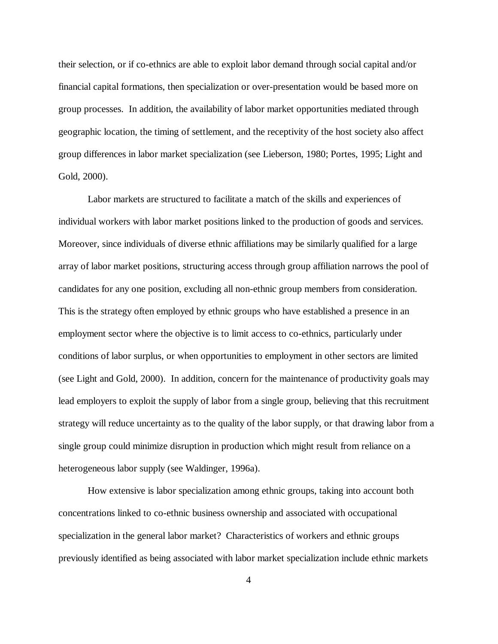their selection, or if co-ethnics are able to exploit labor demand through social capital and/or financial capital formations, then specialization or over-presentation would be based more on group processes. In addition, the availability of labor market opportunities mediated through geographic location, the timing of settlement, and the receptivity of the host society also affect group differences in labor market specialization (see Lieberson, 1980; Portes, 1995; Light and Gold, 2000).

Labor markets are structured to facilitate a match of the skills and experiences of individual workers with labor market positions linked to the production of goods and services. Moreover, since individuals of diverse ethnic affiliations may be similarly qualified for a large array of labor market positions, structuring access through group affiliation narrows the pool of candidates for any one position, excluding all non-ethnic group members from consideration. This is the strategy often employed by ethnic groups who have established a presence in an employment sector where the objective is to limit access to co-ethnics, particularly under conditions of labor surplus, or when opportunities to employment in other sectors are limited (see Light and Gold, 2000). In addition, concern for the maintenance of productivity goals may lead employers to exploit the supply of labor from a single group, believing that this recruitment strategy will reduce uncertainty as to the quality of the labor supply, or that drawing labor from a single group could minimize disruption in production which might result from reliance on a heterogeneous labor supply (see Waldinger, 1996a).

How extensive is labor specialization among ethnic groups, taking into account both concentrations linked to co-ethnic business ownership and associated with occupational specialization in the general labor market? Characteristics of workers and ethnic groups previously identified as being associated with labor market specialization include ethnic markets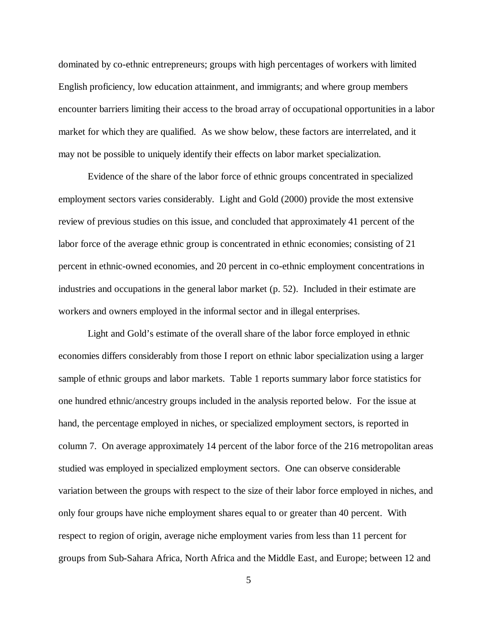dominated by co-ethnic entrepreneurs; groups with high percentages of workers with limited English proficiency, low education attainment, and immigrants; and where group members encounter barriers limiting their access to the broad array of occupational opportunities in a labor market for which they are qualified. As we show below, these factors are interrelated, and it may not be possible to uniquely identify their effects on labor market specialization.

Evidence of the share of the labor force of ethnic groups concentrated in specialized employment sectors varies considerably. Light and Gold (2000) provide the most extensive review of previous studies on this issue, and concluded that approximately 41 percent of the labor force of the average ethnic group is concentrated in ethnic economies; consisting of 21 percent in ethnic-owned economies, and 20 percent in co-ethnic employment concentrations in industries and occupations in the general labor market (p. 52). Included in their estimate are workers and owners employed in the informal sector and in illegal enterprises.

Light and Gold's estimate of the overall share of the labor force employed in ethnic economies differs considerably from those I report on ethnic labor specialization using a larger sample of ethnic groups and labor markets. Table 1 reports summary labor force statistics for one hundred ethnic/ancestry groups included in the analysis reported below. For the issue at hand, the percentage employed in niches, or specialized employment sectors, is reported in column 7. On average approximately 14 percent of the labor force of the 216 metropolitan areas studied was employed in specialized employment sectors. One can observe considerable variation between the groups with respect to the size of their labor force employed in niches, and only four groups have niche employment shares equal to or greater than 40 percent. With respect to region of origin, average niche employment varies from less than 11 percent for groups from Sub-Sahara Africa, North Africa and the Middle East, and Europe; between 12 and

5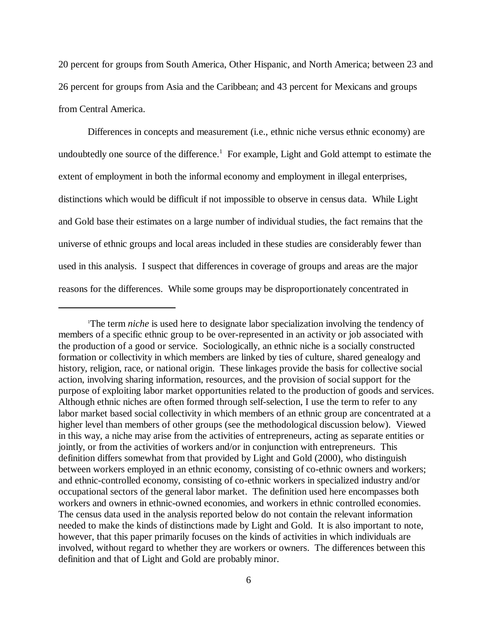20 percent for groups from South America, Other Hispanic, and North America; between 23 and 26 percent for groups from Asia and the Caribbean; and 43 percent for Mexicans and groups from Central America.

Differences in concepts and measurement (i.e., ethnic niche versus ethnic economy) are undoubtedly one source of the difference.<sup>1</sup> For example, Light and Gold attempt to estimate the extent of employment in both the informal economy and employment in illegal enterprises, distinctions which would be difficult if not impossible to observe in census data. While Light and Gold base their estimates on a large number of individual studies, the fact remains that the universe of ethnic groups and local areas included in these studies are considerably fewer than used in this analysis. I suspect that differences in coverage of groups and areas are the major reasons for the differences. While some groups may be disproportionately concentrated in

<sup>&</sup>lt;sup>1</sup>The term *niche* is used here to designate labor specialization involving the tendency of members of a specific ethnic group to be over-represented in an activity or job associated with the production of a good or service. Sociologically, an ethnic niche is a socially constructed formation or collectivity in which members are linked by ties of culture, shared genealogy and history, religion, race, or national origin. These linkages provide the basis for collective social action, involving sharing information, resources, and the provision of social support for the purpose of exploiting labor market opportunities related to the production of goods and services. Although ethnic niches are often formed through self-selection, I use the term to refer to any labor market based social collectivity in which members of an ethnic group are concentrated at a higher level than members of other groups (see the methodological discussion below). Viewed in this way, a niche may arise from the activities of entrepreneurs, acting as separate entities or jointly, or from the activities of workers and/or in conjunction with entrepreneurs. This definition differs somewhat from that provided by Light and Gold (2000), who distinguish between workers employed in an ethnic economy, consisting of co-ethnic owners and workers; and ethnic-controlled economy, consisting of co-ethnic workers in specialized industry and/or occupational sectors of the general labor market. The definition used here encompasses both workers and owners in ethnic-owned economies, and workers in ethnic controlled economies. The census data used in the analysis reported below do not contain the relevant information needed to make the kinds of distinctions made by Light and Gold. It is also important to note, however, that this paper primarily focuses on the kinds of activities in which individuals are involved, without regard to whether they are workers or owners. The differences between this definition and that of Light and Gold are probably minor.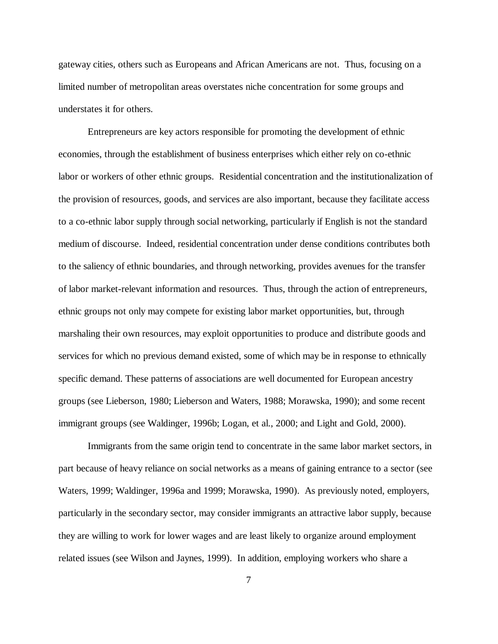gateway cities, others such as Europeans and African Americans are not. Thus, focusing on a limited number of metropolitan areas overstates niche concentration for some groups and understates it for others.

Entrepreneurs are key actors responsible for promoting the development of ethnic economies, through the establishment of business enterprises which either rely on co-ethnic labor or workers of other ethnic groups. Residential concentration and the institutionalization of the provision of resources, goods, and services are also important, because they facilitate access to a co-ethnic labor supply through social networking, particularly if English is not the standard medium of discourse. Indeed, residential concentration under dense conditions contributes both to the saliency of ethnic boundaries, and through networking, provides avenues for the transfer of labor market-relevant information and resources. Thus, through the action of entrepreneurs, ethnic groups not only may compete for existing labor market opportunities, but, through marshaling their own resources, may exploit opportunities to produce and distribute goods and services for which no previous demand existed, some of which may be in response to ethnically specific demand. These patterns of associations are well documented for European ancestry groups (see Lieberson, 1980; Lieberson and Waters, 1988; Morawska, 1990); and some recent immigrant groups (see Waldinger, 1996b; Logan, et al., 2000; and Light and Gold, 2000).

Immigrants from the same origin tend to concentrate in the same labor market sectors, in part because of heavy reliance on social networks as a means of gaining entrance to a sector (see Waters, 1999; Waldinger, 1996a and 1999; Morawska, 1990). As previously noted, employers, particularly in the secondary sector, may consider immigrants an attractive labor supply, because they are willing to work for lower wages and are least likely to organize around employment related issues (see Wilson and Jaynes, 1999). In addition, employing workers who share a

7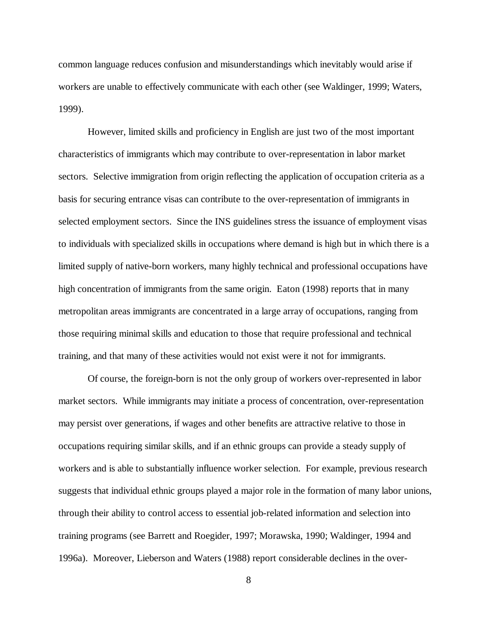common language reduces confusion and misunderstandings which inevitably would arise if workers are unable to effectively communicate with each other (see Waldinger, 1999; Waters, 1999).

However, limited skills and proficiency in English are just two of the most important characteristics of immigrants which may contribute to over-representation in labor market sectors. Selective immigration from origin reflecting the application of occupation criteria as a basis for securing entrance visas can contribute to the over-representation of immigrants in selected employment sectors. Since the INS guidelines stress the issuance of employment visas to individuals with specialized skills in occupations where demand is high but in which there is a limited supply of native-born workers, many highly technical and professional occupations have high concentration of immigrants from the same origin. Eaton (1998) reports that in many metropolitan areas immigrants are concentrated in a large array of occupations, ranging from those requiring minimal skills and education to those that require professional and technical training, and that many of these activities would not exist were it not for immigrants.

Of course, the foreign-born is not the only group of workers over-represented in labor market sectors. While immigrants may initiate a process of concentration, over-representation may persist over generations, if wages and other benefits are attractive relative to those in occupations requiring similar skills, and if an ethnic groups can provide a steady supply of workers and is able to substantially influence worker selection. For example, previous research suggests that individual ethnic groups played a major role in the formation of many labor unions, through their ability to control access to essential job-related information and selection into training programs (see Barrett and Roegider, 1997; Morawska, 1990; Waldinger, 1994 and 1996a). Moreover, Lieberson and Waters (1988) report considerable declines in the over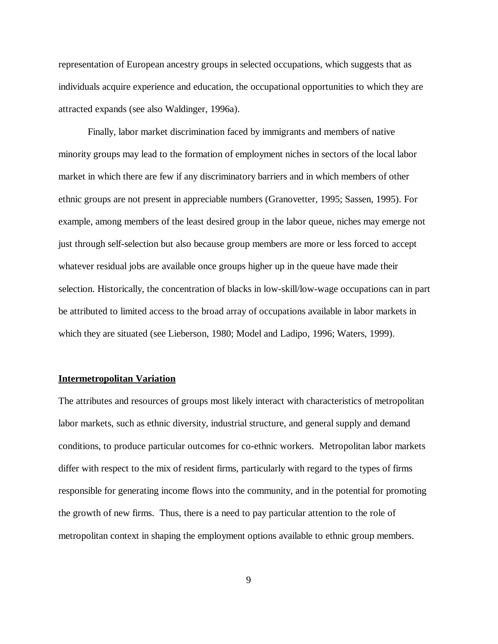representation of European ancestry groups in selected occupations, which suggests that as individuals acquire experience and education, the occupational opportunities to which they are attracted expands (see also Waldinger, 1996a).

Finally, labor market discrimination faced by immigrants and members of native minority groups may lead to the formation of employment niches in sectors of the local labor market in which there are few if any discriminatory barriers and in which members of other ethnic groups are not present in appreciable numbers (Granovetter, 1995; Sassen, 1995). For example, among members of the least desired group in the labor queue, niches may emerge not just through self-selection but also because group members are more or less forced to accept whatever residual jobs are available once groups higher up in the queue have made their selection. Historically, the concentration of blacks in low-skill/low-wage occupations can in part be attributed to limited access to the broad array of occupations available in labor markets in which they are situated (see Lieberson, 1980; Model and Ladipo, 1996; Waters, 1999).

#### **Intermetropolitan Variation**

The attributes and resources of groups most likely interact with characteristics of metropolitan labor markets, such as ethnic diversity, industrial structure, and general supply and demand conditions, to produce particular outcomes for co-ethnic workers. Metropolitan labor markets differ with respect to the mix of resident firms, particularly with regard to the types of firms responsible for generating income flows into the community, and in the potential for promoting the growth of new firms. Thus, there is a need to pay particular attention to the role of metropolitan context in shaping the employment options available to ethnic group members.

9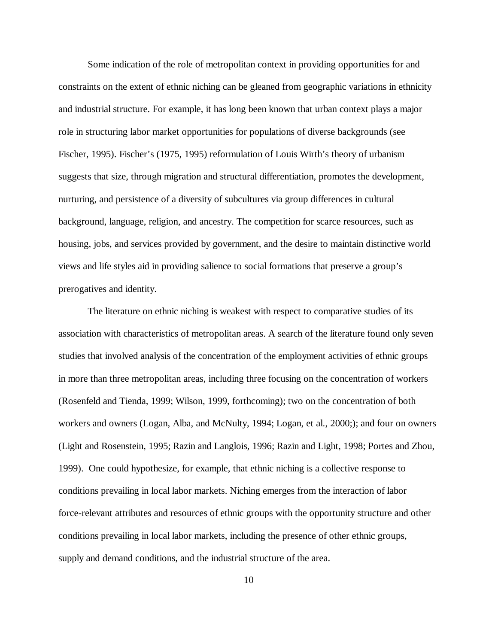Some indication of the role of metropolitan context in providing opportunities for and constraints on the extent of ethnic niching can be gleaned from geographic variations in ethnicity and industrial structure. For example, it has long been known that urban context plays a major role in structuring labor market opportunities for populations of diverse backgrounds (see Fischer, 1995). Fischer's (1975, 1995) reformulation of Louis Wirth's theory of urbanism suggests that size, through migration and structural differentiation, promotes the development, nurturing, and persistence of a diversity of subcultures via group differences in cultural background, language, religion, and ancestry. The competition for scarce resources, such as housing, jobs, and services provided by government, and the desire to maintain distinctive world views and life styles aid in providing salience to social formations that preserve a group's prerogatives and identity.

The literature on ethnic niching is weakest with respect to comparative studies of its association with characteristics of metropolitan areas. A search of the literature found only seven studies that involved analysis of the concentration of the employment activities of ethnic groups in more than three metropolitan areas, including three focusing on the concentration of workers (Rosenfeld and Tienda, 1999; Wilson, 1999, forthcoming); two on the concentration of both workers and owners (Logan, Alba, and McNulty, 1994; Logan, et al., 2000;); and four on owners (Light and Rosenstein, 1995; Razin and Langlois, 1996; Razin and Light, 1998; Portes and Zhou, 1999). One could hypothesize, for example, that ethnic niching is a collective response to conditions prevailing in local labor markets. Niching emerges from the interaction of labor force-relevant attributes and resources of ethnic groups with the opportunity structure and other conditions prevailing in local labor markets, including the presence of other ethnic groups, supply and demand conditions, and the industrial structure of the area.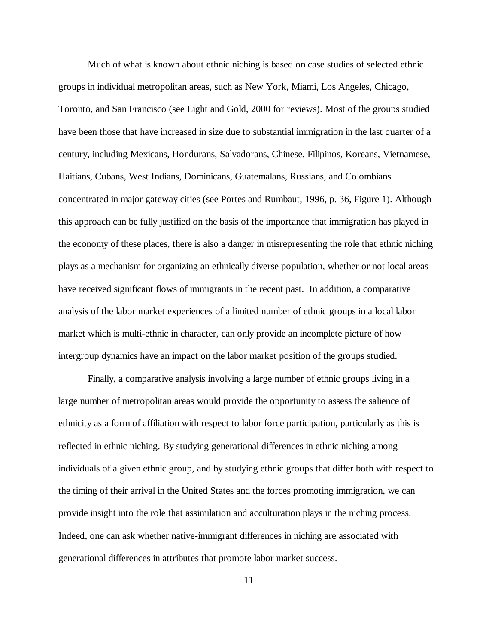Much of what is known about ethnic niching is based on case studies of selected ethnic groups in individual metropolitan areas, such as New York, Miami, Los Angeles, Chicago, Toronto, and San Francisco (see Light and Gold, 2000 for reviews). Most of the groups studied have been those that have increased in size due to substantial immigration in the last quarter of a century, including Mexicans, Hondurans, Salvadorans, Chinese, Filipinos, Koreans, Vietnamese, Haitians, Cubans, West Indians, Dominicans, Guatemalans, Russians, and Colombians concentrated in major gateway cities (see Portes and Rumbaut, 1996, p. 36, Figure 1). Although this approach can be fully justified on the basis of the importance that immigration has played in the economy of these places, there is also a danger in misrepresenting the role that ethnic niching plays as a mechanism for organizing an ethnically diverse population, whether or not local areas have received significant flows of immigrants in the recent past. In addition, a comparative analysis of the labor market experiences of a limited number of ethnic groups in a local labor market which is multi-ethnic in character, can only provide an incomplete picture of how intergroup dynamics have an impact on the labor market position of the groups studied.

Finally, a comparative analysis involving a large number of ethnic groups living in a large number of metropolitan areas would provide the opportunity to assess the salience of ethnicity as a form of affiliation with respect to labor force participation, particularly as this is reflected in ethnic niching. By studying generational differences in ethnic niching among individuals of a given ethnic group, and by studying ethnic groups that differ both with respect to the timing of their arrival in the United States and the forces promoting immigration, we can provide insight into the role that assimilation and acculturation plays in the niching process. Indeed, one can ask whether native-immigrant differences in niching are associated with generational differences in attributes that promote labor market success.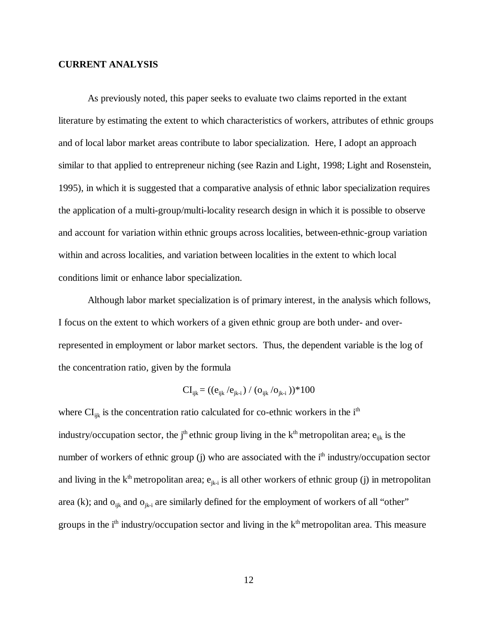## **CURRENT ANALYSIS**

As previously noted, this paper seeks to evaluate two claims reported in the extant literature by estimating the extent to which characteristics of workers, attributes of ethnic groups and of local labor market areas contribute to labor specialization. Here, I adopt an approach similar to that applied to entrepreneur niching (see Razin and Light, 1998; Light and Rosenstein, 1995), in which it is suggested that a comparative analysis of ethnic labor specialization requires the application of a multi-group/multi-locality research design in which it is possible to observe and account for variation within ethnic groups across localities, between-ethnic-group variation within and across localities, and variation between localities in the extent to which local conditions limit or enhance labor specialization.

Although labor market specialization is of primary interest, in the analysis which follows, I focus on the extent to which workers of a given ethnic group are both under- and overrepresented in employment or labor market sectors. Thus, the dependent variable is the log of the concentration ratio, given by the formula

$$
CI_{ijk} = ((e_{ijk}/e_{jk-i}) / (o_{ijk}/o_{jk-i})) * 100
$$

where  $CI_{ik}$  is the concentration ratio calculated for co-ethnic workers in the i<sup>th</sup> industry/occupation sector, the j<sup>th</sup> ethnic group living in the  $k<sup>th</sup>$  metropolitan area;  $e_{ijk}$  is the number of workers of ethnic group (j) who are associated with the  $i<sup>th</sup>$  industry/occupation sector and living in the  $k<sup>th</sup>$  metropolitan area;  $e_{jk-i}$  is all other workers of ethnic group (j) in metropolitan area (k); and  $o_{ijk}$  and  $o_{jk-i}$  are similarly defined for the employment of workers of all "other" groups in the  $i<sup>th</sup>$  industry/occupation sector and living in the  $k<sup>th</sup>$  metropolitan area. This measure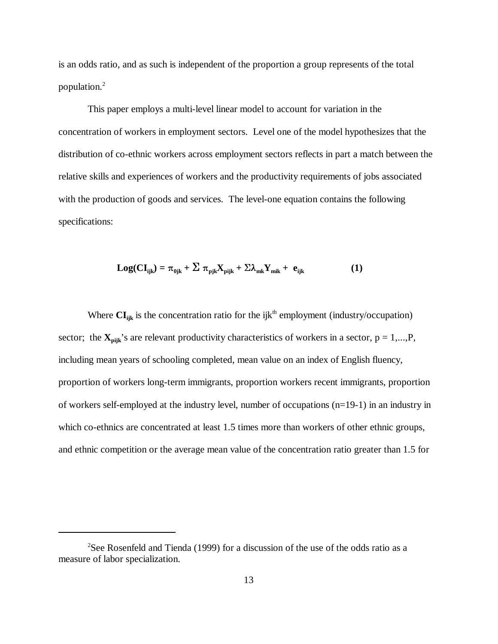is an odds ratio, and as such is independent of the proportion a group represents of the total population.2

This paper employs a multi-level linear model to account for variation in the concentration of workers in employment sectors. Level one of the model hypothesizes that the distribution of co-ethnic workers across employment sectors reflects in part a match between the relative skills and experiences of workers and the productivity requirements of jobs associated with the production of goods and services. The level-one equation contains the following specifications:

$$
Log(CI_{ijk}) = \pi_{0jk} + \sum \pi_{pjk} X_{pijk} + \sum \lambda_{mk} Y_{mik} + e_{ijk}
$$
 (1)

Where  $CI_{ijk}$  is the concentration ratio for the ijk<sup>th</sup> employment (industry/occupation) sector; the  $X_{pi}$ 's are relevant productivity characteristics of workers in a sector,  $p = 1,...,P$ , including mean years of schooling completed, mean value on an index of English fluency, proportion of workers long-term immigrants, proportion workers recent immigrants, proportion of workers self-employed at the industry level, number of occupations (n=19-1) in an industry in which co-ethnics are concentrated at least 1.5 times more than workers of other ethnic groups, and ethnic competition or the average mean value of the concentration ratio greater than 1.5 for

<sup>&</sup>lt;sup>2</sup>See Rosenfeld and Tienda (1999) for a discussion of the use of the odds ratio as a measure of labor specialization.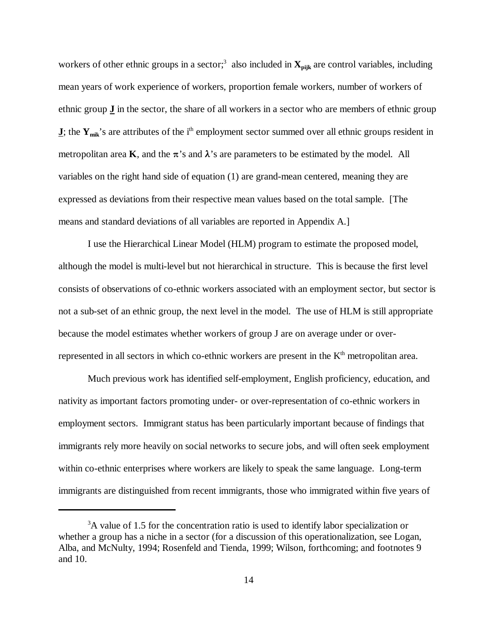workers of other ethnic groups in a sector;<sup>3</sup> also included in  $\mathbf{X}_{\text{niik}}$  are control variables, including mean years of work experience of workers, proportion female workers, number of workers of ethnic group **J** in the sector, the share of all workers in a sector who are members of ethnic group **J**; the  $Y_{\text{mix}}$ 's are attributes of the i<sup>th</sup> employment sector summed over all ethnic groups resident in metropolitan area **K**, and the  $\pi$ 's and  $\lambda$ 's are parameters to be estimated by the model. All variables on the right hand side of equation (1) are grand-mean centered, meaning they are expressed as deviations from their respective mean values based on the total sample. [The means and standard deviations of all variables are reported in Appendix A.]

I use the Hierarchical Linear Model (HLM) program to estimate the proposed model, although the model is multi-level but not hierarchical in structure. This is because the first level consists of observations of co-ethnic workers associated with an employment sector, but sector is not a sub-set of an ethnic group, the next level in the model. The use of HLM is still appropriate because the model estimates whether workers of group J are on average under or overrepresented in all sectors in which co-ethnic workers are present in the K<sup>th</sup> metropolitan area.

Much previous work has identified self-employment, English proficiency, education, and nativity as important factors promoting under- or over-representation of co-ethnic workers in employment sectors. Immigrant status has been particularly important because of findings that immigrants rely more heavily on social networks to secure jobs, and will often seek employment within co-ethnic enterprises where workers are likely to speak the same language. Long-term immigrants are distinguished from recent immigrants, those who immigrated within five years of

<sup>&</sup>lt;sup>3</sup>A value of 1.5 for the concentration ratio is used to identify labor specialization or whether a group has a niche in a sector (for a discussion of this operationalization, see Logan, Alba, and McNulty, 1994; Rosenfeld and Tienda, 1999; Wilson, forthcoming; and footnotes 9 and 10.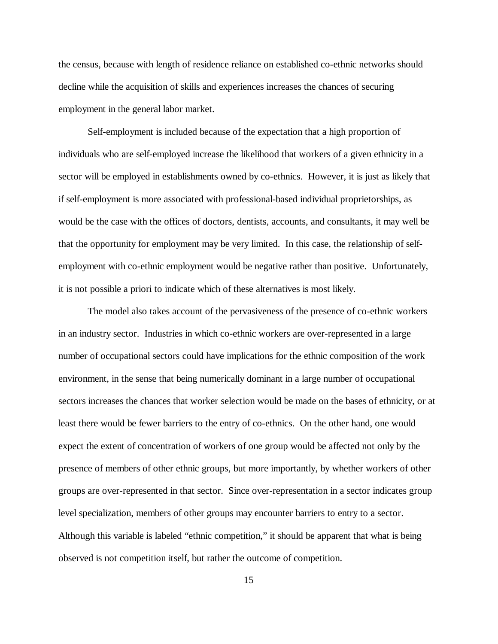the census, because with length of residence reliance on established co-ethnic networks should decline while the acquisition of skills and experiences increases the chances of securing employment in the general labor market.

Self-employment is included because of the expectation that a high proportion of individuals who are self-employed increase the likelihood that workers of a given ethnicity in a sector will be employed in establishments owned by co-ethnics. However, it is just as likely that if self-employment is more associated with professional-based individual proprietorships, as would be the case with the offices of doctors, dentists, accounts, and consultants, it may well be that the opportunity for employment may be very limited. In this case, the relationship of selfemployment with co-ethnic employment would be negative rather than positive. Unfortunately, it is not possible a priori to indicate which of these alternatives is most likely.

The model also takes account of the pervasiveness of the presence of co-ethnic workers in an industry sector. Industries in which co-ethnic workers are over-represented in a large number of occupational sectors could have implications for the ethnic composition of the work environment, in the sense that being numerically dominant in a large number of occupational sectors increases the chances that worker selection would be made on the bases of ethnicity, or at least there would be fewer barriers to the entry of co-ethnics. On the other hand, one would expect the extent of concentration of workers of one group would be affected not only by the presence of members of other ethnic groups, but more importantly, by whether workers of other groups are over-represented in that sector. Since over-representation in a sector indicates group level specialization, members of other groups may encounter barriers to entry to a sector. Although this variable is labeled "ethnic competition," it should be apparent that what is being observed is not competition itself, but rather the outcome of competition.

15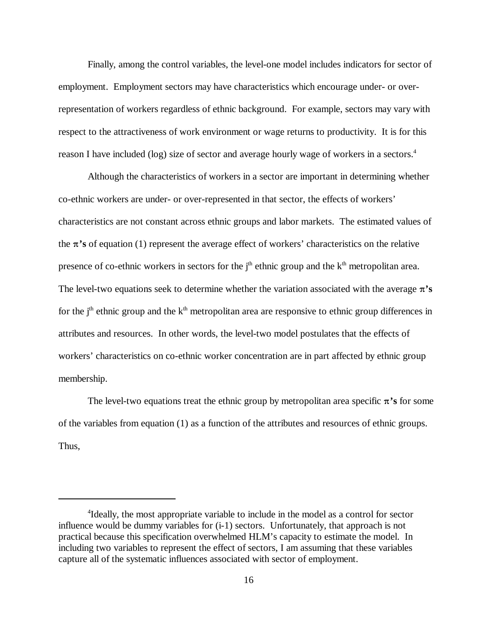Finally, among the control variables, the level-one model includes indicators for sector of employment. Employment sectors may have characteristics which encourage under- or overrepresentation of workers regardless of ethnic background. For example, sectors may vary with respect to the attractiveness of work environment or wage returns to productivity. It is for this reason I have included (log) size of sector and average hourly wage of workers in a sectors.4

Although the characteristics of workers in a sector are important in determining whether co-ethnic workers are under- or over-represented in that sector, the effects of workers' characteristics are not constant across ethnic groups and labor markets. The estimated values of the  $\pi$ 's of equation (1) represent the average effect of workers' characteristics on the relative presence of co-ethnic workers in sectors for the  $j<sup>th</sup>$  ethnic group and the  $k<sup>th</sup>$  metropolitan area. The level-two equations seek to determine whether the variation associated with the average  $\pi$ 's for the  $j<sup>th</sup>$  ethnic group and the  $k<sup>th</sup>$  metropolitan area are responsive to ethnic group differences in attributes and resources. In other words, the level-two model postulates that the effects of workers' characteristics on co-ethnic worker concentration are in part affected by ethnic group membership.

The level-two equations treat the ethnic group by metropolitan area specific  $\pi$ 's for some of the variables from equation (1) as a function of the attributes and resources of ethnic groups. Thus,

<sup>&</sup>lt;sup>4</sup>Ideally, the most appropriate variable to include in the model as a control for sector influence would be dummy variables for (i-1) sectors. Unfortunately, that approach is not practical because this specification overwhelmed HLM's capacity to estimate the model. In including two variables to represent the effect of sectors, I am assuming that these variables capture all of the systematic influences associated with sector of employment.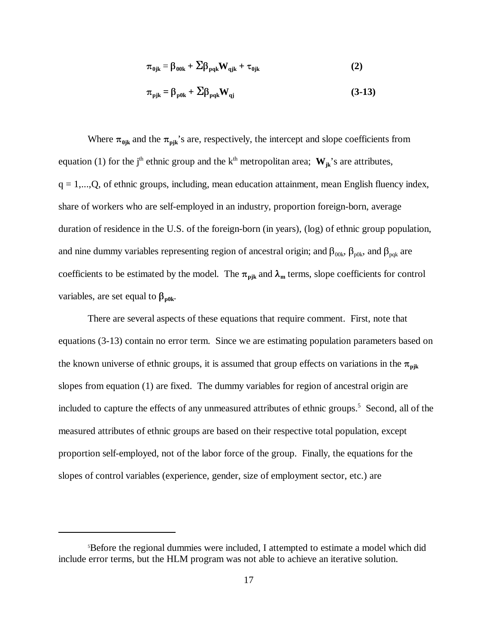$$
\pi_{0jk} = \beta_{00k} + \Sigma \beta_{pqk} W_{qjk} + \tau_{0jk}
$$
 (2)

$$
\pi_{\text{pjk}} = \beta_{\text{p0k}} + \Sigma \beta_{\text{pqk}} W_{\text{qj}} \tag{3-13}
$$

Where  $\pi_{0ik}$  and the  $\pi_{pik}$ 's are, respectively, the intercept and slope coefficients from equation (1) for the j<sup>th</sup> ethnic group and the k<sup>th</sup> metropolitan area;  $W_{ik}$ 's are attributes,  $q = 1,...,Q$ , of ethnic groups, including, mean education attainment, mean English fluency index, share of workers who are self-employed in an industry, proportion foreign-born, average duration of residence in the U.S. of the foreign-born (in years), (log) of ethnic group population, and nine dummy variables representing region of ancestral origin; and  $\beta_{00k}$ ,  $\beta_{p0k}$ , and  $\beta_{pqk}$  are coefficients to be estimated by the model. The  $\pi_{\text{pix}}$  and  $\lambda_{\text{m}}$  terms, slope coefficients for control variables, are set equal to  $\beta_{\text{p0k}}$ .

There are several aspects of these equations that require comment. First, note that equations (3-13) contain no error term. Since we are estimating population parameters based on the known universe of ethnic groups, it is assumed that group effects on variations in the  $\pi_{pjk}$ slopes from equation (1) are fixed. The dummy variables for region of ancestral origin are included to capture the effects of any unmeasured attributes of ethnic groups.<sup>5</sup> Second, all of the measured attributes of ethnic groups are based on their respective total population, except proportion self-employed, not of the labor force of the group. Finally, the equations for the slopes of control variables (experience, gender, size of employment sector, etc.) are

<sup>5</sup> Before the regional dummies were included, I attempted to estimate a model which did include error terms, but the HLM program was not able to achieve an iterative solution.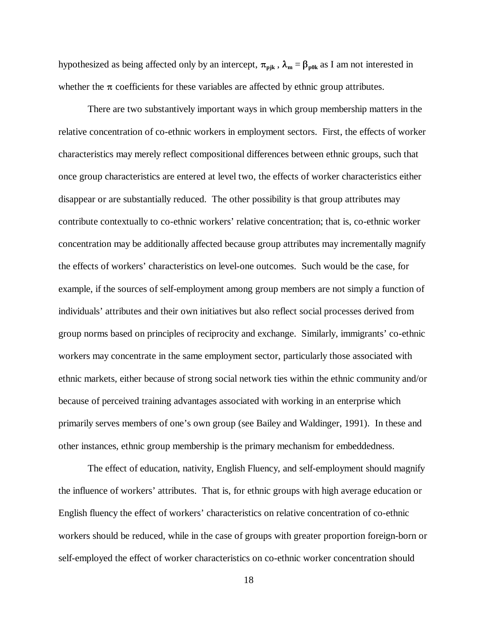hypothesized as being affected only by an intercept,  $\pi_{\text{pjk}}$ ,  $\lambda_{\text{m}} = \beta_{\text{p0k}}$  as I am not interested in whether the  $\pi$  coefficients for these variables are affected by ethnic group attributes.

There are two substantively important ways in which group membership matters in the relative concentration of co-ethnic workers in employment sectors. First, the effects of worker characteristics may merely reflect compositional differences between ethnic groups, such that once group characteristics are entered at level two, the effects of worker characteristics either disappear or are substantially reduced. The other possibility is that group attributes may contribute contextually to co-ethnic workers' relative concentration; that is, co-ethnic worker concentration may be additionally affected because group attributes may incrementally magnify the effects of workers' characteristics on level-one outcomes. Such would be the case, for example, if the sources of self-employment among group members are not simply a function of individuals' attributes and their own initiatives but also reflect social processes derived from group norms based on principles of reciprocity and exchange. Similarly, immigrants' co-ethnic workers may concentrate in the same employment sector, particularly those associated with ethnic markets, either because of strong social network ties within the ethnic community and/or because of perceived training advantages associated with working in an enterprise which primarily serves members of one's own group (see Bailey and Waldinger, 1991). In these and other instances, ethnic group membership is the primary mechanism for embeddedness.

The effect of education, nativity, English Fluency, and self-employment should magnify the influence of workers' attributes. That is, for ethnic groups with high average education or English fluency the effect of workers' characteristics on relative concentration of co-ethnic workers should be reduced, while in the case of groups with greater proportion foreign-born or self-employed the effect of worker characteristics on co-ethnic worker concentration should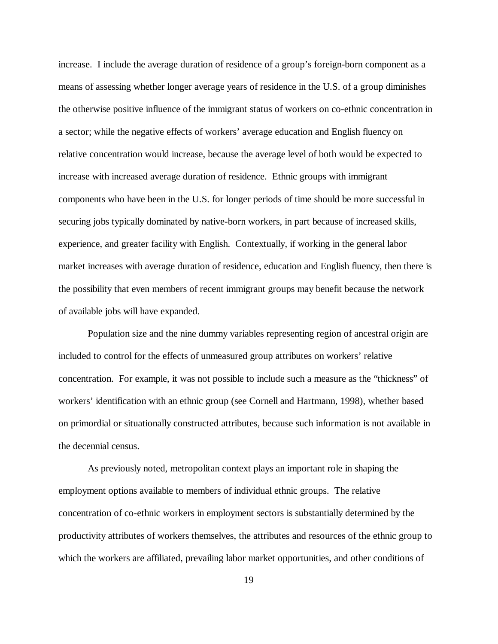increase. I include the average duration of residence of a group's foreign-born component as a means of assessing whether longer average years of residence in the U.S. of a group diminishes the otherwise positive influence of the immigrant status of workers on co-ethnic concentration in a sector; while the negative effects of workers' average education and English fluency on relative concentration would increase, because the average level of both would be expected to increase with increased average duration of residence. Ethnic groups with immigrant components who have been in the U.S. for longer periods of time should be more successful in securing jobs typically dominated by native-born workers, in part because of increased skills, experience, and greater facility with English. Contextually, if working in the general labor market increases with average duration of residence, education and English fluency, then there is the possibility that even members of recent immigrant groups may benefit because the network of available jobs will have expanded.

Population size and the nine dummy variables representing region of ancestral origin are included to control for the effects of unmeasured group attributes on workers' relative concentration. For example, it was not possible to include such a measure as the "thickness" of workers' identification with an ethnic group (see Cornell and Hartmann, 1998), whether based on primordial or situationally constructed attributes, because such information is not available in the decennial census.

As previously noted, metropolitan context plays an important role in shaping the employment options available to members of individual ethnic groups. The relative concentration of co-ethnic workers in employment sectors is substantially determined by the productivity attributes of workers themselves, the attributes and resources of the ethnic group to which the workers are affiliated, prevailing labor market opportunities, and other conditions of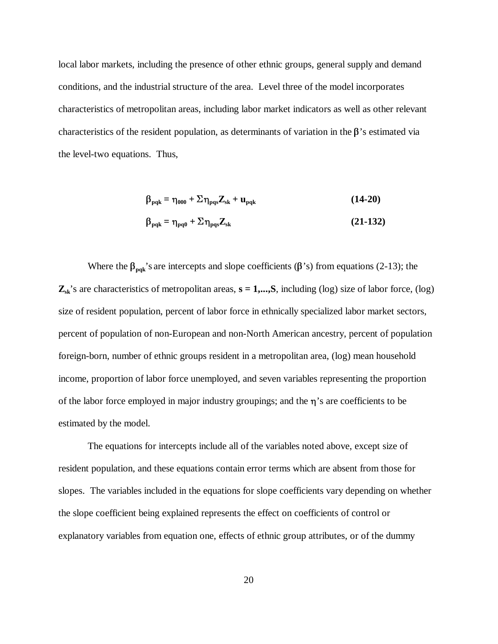local labor markets, including the presence of other ethnic groups, general supply and demand conditions, and the industrial structure of the area. Level three of the model incorporates characteristics of metropolitan areas, including labor market indicators as well as other relevant characteristics of the resident population, as determinants of variation in the  $\beta$ 's estimated via the level-two equations. Thus,

$$
\beta_{pqk} = \eta_{000} + \Sigma \eta_{pqs} Z_{sk} + u_{pqk}
$$
\n(14-20)\n
$$
\beta_{pqk} = \eta_{pq0} + \Sigma \eta_{pqs} Z_{sk}
$$
\n(21-132)

Where the  $\beta_{\text{pqs}}$ 's are intercepts and slope coefficients ( $\beta$ 's) from equations (2-13); the  $\mathbf{Z}_{sk}$ 's are characteristics of metropolitan areas,  $\mathbf{s} = 1,...,S$ , including (log) size of labor force, (log) size of resident population, percent of labor force in ethnically specialized labor market sectors, percent of population of non-European and non-North American ancestry, percent of population foreign-born, number of ethnic groups resident in a metropolitan area, (log) mean household income, proportion of labor force unemployed, and seven variables representing the proportion of the labor force employed in major industry groupings; and the  $\eta$ 's are coefficients to be estimated by the model.

The equations for intercepts include all of the variables noted above, except size of resident population, and these equations contain error terms which are absent from those for slopes. The variables included in the equations for slope coefficients vary depending on whether the slope coefficient being explained represents the effect on coefficients of control or explanatory variables from equation one, effects of ethnic group attributes, or of the dummy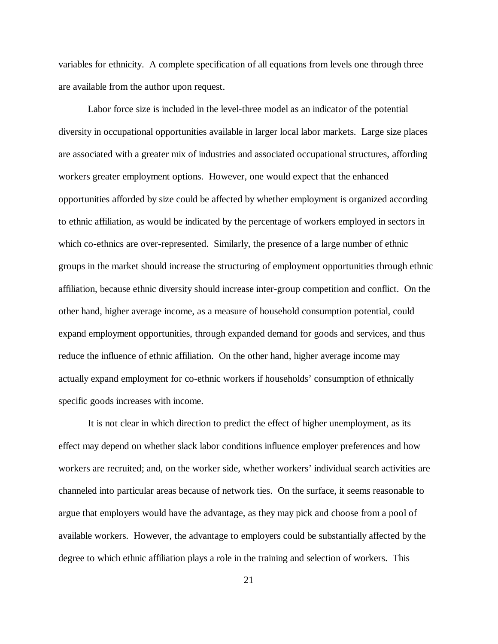variables for ethnicity. A complete specification of all equations from levels one through three are available from the author upon request.

Labor force size is included in the level-three model as an indicator of the potential diversity in occupational opportunities available in larger local labor markets. Large size places are associated with a greater mix of industries and associated occupational structures, affording workers greater employment options. However, one would expect that the enhanced opportunities afforded by size could be affected by whether employment is organized according to ethnic affiliation, as would be indicated by the percentage of workers employed in sectors in which co-ethnics are over-represented. Similarly, the presence of a large number of ethnic groups in the market should increase the structuring of employment opportunities through ethnic affiliation, because ethnic diversity should increase inter-group competition and conflict. On the other hand, higher average income, as a measure of household consumption potential, could expand employment opportunities, through expanded demand for goods and services, and thus reduce the influence of ethnic affiliation. On the other hand, higher average income may actually expand employment for co-ethnic workers if households' consumption of ethnically specific goods increases with income.

It is not clear in which direction to predict the effect of higher unemployment, as its effect may depend on whether slack labor conditions influence employer preferences and how workers are recruited; and, on the worker side, whether workers' individual search activities are channeled into particular areas because of network ties. On the surface, it seems reasonable to argue that employers would have the advantage, as they may pick and choose from a pool of available workers. However, the advantage to employers could be substantially affected by the degree to which ethnic affiliation plays a role in the training and selection of workers. This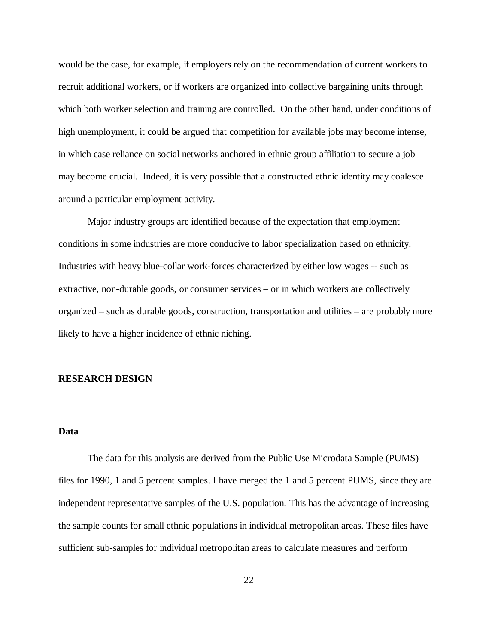would be the case, for example, if employers rely on the recommendation of current workers to recruit additional workers, or if workers are organized into collective bargaining units through which both worker selection and training are controlled. On the other hand, under conditions of high unemployment, it could be argued that competition for available jobs may become intense, in which case reliance on social networks anchored in ethnic group affiliation to secure a job may become crucial. Indeed, it is very possible that a constructed ethnic identity may coalesce around a particular employment activity.

Major industry groups are identified because of the expectation that employment conditions in some industries are more conducive to labor specialization based on ethnicity. Industries with heavy blue-collar work-forces characterized by either low wages -- such as extractive, non-durable goods, or consumer services – or in which workers are collectively organized – such as durable goods, construction, transportation and utilities – are probably more likely to have a higher incidence of ethnic niching.

#### **RESEARCH DESIGN**

#### **Data**

The data for this analysis are derived from the Public Use Microdata Sample (PUMS) files for 1990, 1 and 5 percent samples. I have merged the 1 and 5 percent PUMS, since they are independent representative samples of the U.S. population. This has the advantage of increasing the sample counts for small ethnic populations in individual metropolitan areas. These files have sufficient sub-samples for individual metropolitan areas to calculate measures and perform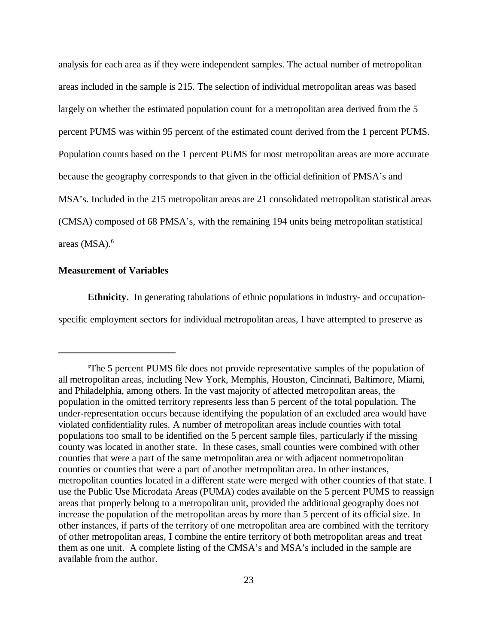analysis for each area as if they were independent samples. The actual number of metropolitan areas included in the sample is 215. The selection of individual metropolitan areas was based largely on whether the estimated population count for a metropolitan area derived from the 5 percent PUMS was within 95 percent of the estimated count derived from the 1 percent PUMS. Population counts based on the 1 percent PUMS for most metropolitan areas are more accurate because the geography corresponds to that given in the official definition of PMSA's and MSA's. Included in the 215 metropolitan areas are 21 consolidated metropolitan statistical areas (CMSA) composed of 68 PMSA's, with the remaining 194 units being metropolitan statistical areas  $(MSA).<sup>6</sup>$ 

## **Measurement of Variables**

**Ethnicity.** In generating tabulations of ethnic populations in industry- and occupationspecific employment sectors for individual metropolitan areas, I have attempted to preserve as

<sup>6</sup> The 5 percent PUMS file does not provide representative samples of the population of all metropolitan areas, including New York, Memphis, Houston, Cincinnati, Baltimore, Miami, and Philadelphia, among others. In the vast majority of affected metropolitan areas, the population in the omitted territory represents less than 5 percent of the total population. The under-representation occurs because identifying the population of an excluded area would have violated confidentiality rules. A number of metropolitan areas include counties with total populations too small to be identified on the 5 percent sample files, particularly if the missing county was located in another state. In these cases, small counties were combined with other counties that were a part of the same metropolitan area or with adjacent nonmetropolitan counties or counties that were a part of another metropolitan area. In other instances, metropolitan counties located in a different state were merged with other counties of that state. I use the Public Use Microdata Areas (PUMA) codes available on the 5 percent PUMS to reassign areas that properly belong to a metropolitan unit, provided the additional geography does not increase the population of the metropolitan areas by more than 5 percent of its official size. In other instances, if parts of the territory of one metropolitan area are combined with the territory of other metropolitan areas, I combine the entire territory of both metropolitan areas and treat them as one unit. A complete listing of the CMSA's and MSA's included in the sample are available from the author.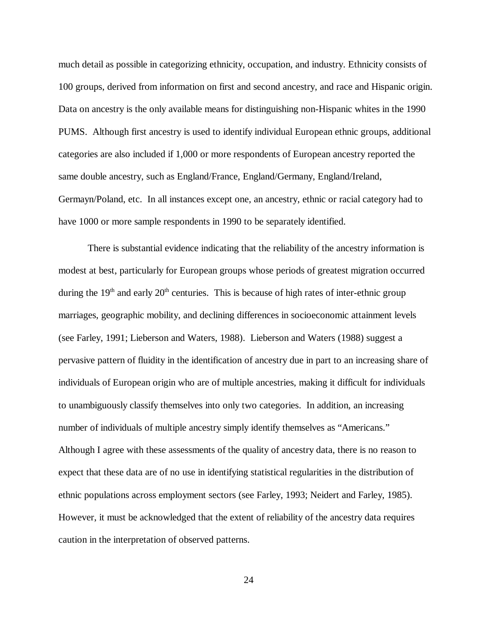much detail as possible in categorizing ethnicity, occupation, and industry. Ethnicity consists of 100 groups, derived from information on first and second ancestry, and race and Hispanic origin. Data on ancestry is the only available means for distinguishing non-Hispanic whites in the 1990 PUMS. Although first ancestry is used to identify individual European ethnic groups, additional categories are also included if 1,000 or more respondents of European ancestry reported the same double ancestry, such as England/France, England/Germany, England/Ireland, Germayn/Poland, etc. In all instances except one, an ancestry, ethnic or racial category had to have 1000 or more sample respondents in 1990 to be separately identified.

There is substantial evidence indicating that the reliability of the ancestry information is modest at best, particularly for European groups whose periods of greatest migration occurred during the  $19<sup>th</sup>$  and early  $20<sup>th</sup>$  centuries. This is because of high rates of inter-ethnic group marriages, geographic mobility, and declining differences in socioeconomic attainment levels (see Farley, 1991; Lieberson and Waters, 1988). Lieberson and Waters (1988) suggest a pervasive pattern of fluidity in the identification of ancestry due in part to an increasing share of individuals of European origin who are of multiple ancestries, making it difficult for individuals to unambiguously classify themselves into only two categories. In addition, an increasing number of individuals of multiple ancestry simply identify themselves as "Americans." Although I agree with these assessments of the quality of ancestry data, there is no reason to expect that these data are of no use in identifying statistical regularities in the distribution of ethnic populations across employment sectors (see Farley, 1993; Neidert and Farley, 1985). However, it must be acknowledged that the extent of reliability of the ancestry data requires caution in the interpretation of observed patterns.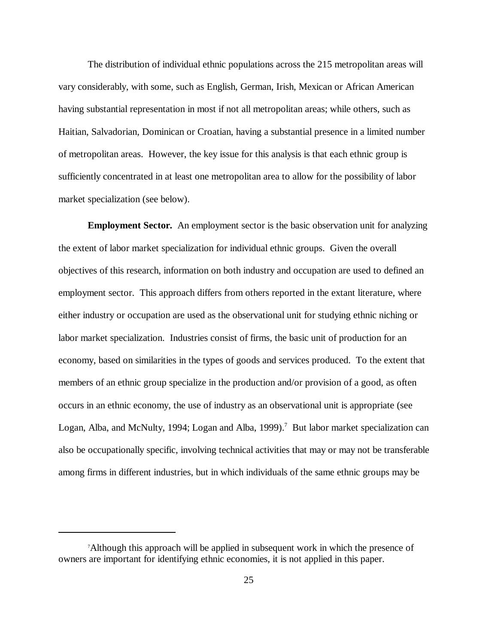The distribution of individual ethnic populations across the 215 metropolitan areas will vary considerably, with some, such as English, German, Irish, Mexican or African American having substantial representation in most if not all metropolitan areas; while others, such as Haitian, Salvadorian, Dominican or Croatian, having a substantial presence in a limited number of metropolitan areas. However, the key issue for this analysis is that each ethnic group is sufficiently concentrated in at least one metropolitan area to allow for the possibility of labor market specialization (see below).

**Employment Sector.** An employment sector is the basic observation unit for analyzing the extent of labor market specialization for individual ethnic groups. Given the overall objectives of this research, information on both industry and occupation are used to defined an employment sector. This approach differs from others reported in the extant literature, where either industry or occupation are used as the observational unit for studying ethnic niching or labor market specialization. Industries consist of firms, the basic unit of production for an economy, based on similarities in the types of goods and services produced. To the extent that members of an ethnic group specialize in the production and/or provision of a good, as often occurs in an ethnic economy, the use of industry as an observational unit is appropriate (see Logan, Alba, and McNulty, 1994; Logan and Alba, 1999).<sup>7</sup> But labor market specialization can also be occupationally specific, involving technical activities that may or may not be transferable among firms in different industries, but in which individuals of the same ethnic groups may be

<sup>7</sup> Although this approach will be applied in subsequent work in which the presence of owners are important for identifying ethnic economies, it is not applied in this paper.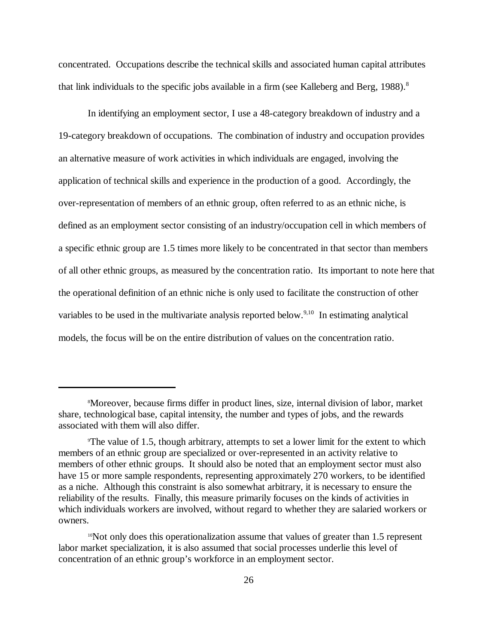concentrated. Occupations describe the technical skills and associated human capital attributes that link individuals to the specific jobs available in a firm (see Kalleberg and Berg, 1988).<sup>8</sup>

In identifying an employment sector, I use a 48-category breakdown of industry and a 19-category breakdown of occupations. The combination of industry and occupation provides an alternative measure of work activities in which individuals are engaged, involving the application of technical skills and experience in the production of a good. Accordingly, the over-representation of members of an ethnic group, often referred to as an ethnic niche, is defined as an employment sector consisting of an industry/occupation cell in which members of a specific ethnic group are 1.5 times more likely to be concentrated in that sector than members of all other ethnic groups, as measured by the concentration ratio. Its important to note here that the operational definition of an ethnic niche is only used to facilitate the construction of other variables to be used in the multivariate analysis reported below.<sup>9,10</sup> In estimating analytical models, the focus will be on the entire distribution of values on the concentration ratio.

<sup>8</sup> Moreover, because firms differ in product lines, size, internal division of labor, market share, technological base, capital intensity, the number and types of jobs, and the rewards associated with them will also differ.

<sup>9</sup> The value of 1.5, though arbitrary, attempts to set a lower limit for the extent to which members of an ethnic group are specialized or over-represented in an activity relative to members of other ethnic groups. It should also be noted that an employment sector must also have 15 or more sample respondents, representing approximately 270 workers, to be identified as a niche. Although this constraint is also somewhat arbitrary, it is necessary to ensure the reliability of the results. Finally, this measure primarily focuses on the kinds of activities in which individuals workers are involved, without regard to whether they are salaried workers or owners.

<sup>&</sup>lt;sup>10</sup>Not only does this operationalization assume that values of greater than 1.5 represent labor market specialization, it is also assumed that social processes underlie this level of concentration of an ethnic group's workforce in an employment sector.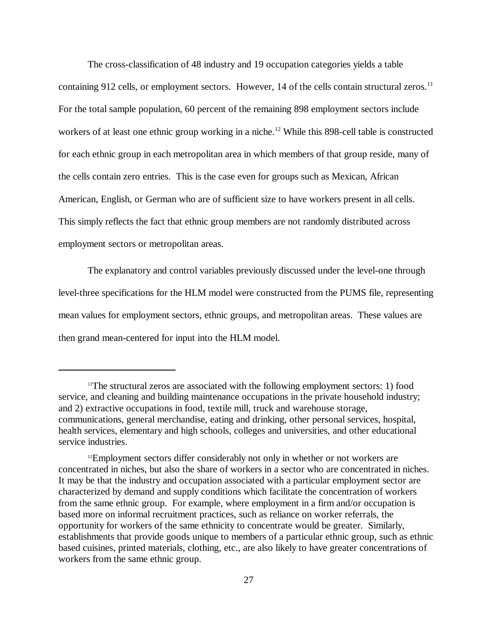The cross-classification of 48 industry and 19 occupation categories yields a table containing 912 cells, or employment sectors. However, 14 of the cells contain structural zeros.<sup>11</sup> For the total sample population, 60 percent of the remaining 898 employment sectors include workers of at least one ethnic group working in a niche.<sup>12</sup> While this 898-cell table is constructed for each ethnic group in each metropolitan area in which members of that group reside, many of the cells contain zero entries. This is the case even for groups such as Mexican, African American, English, or German who are of sufficient size to have workers present in all cells. This simply reflects the fact that ethnic group members are not randomly distributed across employment sectors or metropolitan areas.

The explanatory and control variables previously discussed under the level-one through level-three specifications for the HLM model were constructed from the PUMS file, representing mean values for employment sectors, ethnic groups, and metropolitan areas. These values are then grand mean-centered for input into the HLM model.

 $11$ <sup>11</sup>The structural zeros are associated with the following employment sectors: 1) food service, and cleaning and building maintenance occupations in the private household industry; and 2) extractive occupations in food, textile mill, truck and warehouse storage, communications, general merchandise, eating and drinking, other personal services, hospital, health services, elementary and high schools, colleges and universities, and other educational service industries.

<sup>12</sup>Employment sectors differ considerably not only in whether or not workers are concentrated in niches, but also the share of workers in a sector who are concentrated in niches. It may be that the industry and occupation associated with a particular employment sector are characterized by demand and supply conditions which facilitate the concentration of workers from the same ethnic group. For example, where employment in a firm and/or occupation is based more on informal recruitment practices, such as reliance on worker referrals, the opportunity for workers of the same ethnicity to concentrate would be greater. Similarly, establishments that provide goods unique to members of a particular ethnic group, such as ethnic based cuisines, printed materials, clothing, etc., are also likely to have greater concentrations of workers from the same ethnic group.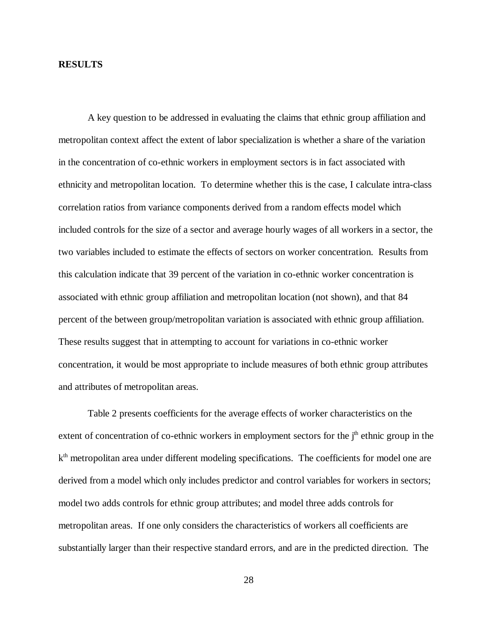## **RESULTS**

A key question to be addressed in evaluating the claims that ethnic group affiliation and metropolitan context affect the extent of labor specialization is whether a share of the variation in the concentration of co-ethnic workers in employment sectors is in fact associated with ethnicity and metropolitan location. To determine whether this is the case, I calculate intra-class correlation ratios from variance components derived from a random effects model which included controls for the size of a sector and average hourly wages of all workers in a sector, the two variables included to estimate the effects of sectors on worker concentration. Results from this calculation indicate that 39 percent of the variation in co-ethnic worker concentration is associated with ethnic group affiliation and metropolitan location (not shown), and that 84 percent of the between group/metropolitan variation is associated with ethnic group affiliation. These results suggest that in attempting to account for variations in co-ethnic worker concentration, it would be most appropriate to include measures of both ethnic group attributes and attributes of metropolitan areas.

Table 2 presents coefficients for the average effects of worker characteristics on the extent of concentration of co-ethnic workers in employment sectors for the  $j<sup>th</sup>$  ethnic group in the  $k<sup>th</sup>$  metropolitan area under different modeling specifications. The coefficients for model one are derived from a model which only includes predictor and control variables for workers in sectors; model two adds controls for ethnic group attributes; and model three adds controls for metropolitan areas. If one only considers the characteristics of workers all coefficients are substantially larger than their respective standard errors, and are in the predicted direction. The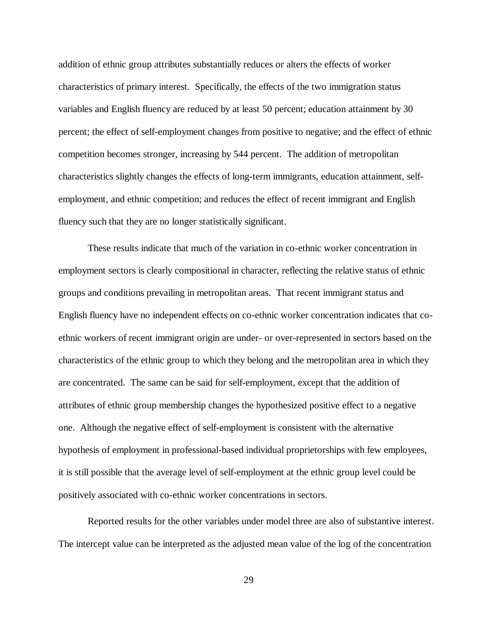addition of ethnic group attributes substantially reduces or alters the effects of worker characteristics of primary interest. Specifically, the effects of the two immigration status variables and English fluency are reduced by at least 50 percent; education attainment by 30 percent; the effect of self-employment changes from positive to negative; and the effect of ethnic competition becomes stronger, increasing by 544 percent. The addition of metropolitan characteristics slightly changes the effects of long-term immigrants, education attainment, selfemployment, and ethnic competition; and reduces the effect of recent immigrant and English fluency such that they are no longer statistically significant.

These results indicate that much of the variation in co-ethnic worker concentration in employment sectors is clearly compositional in character, reflecting the relative status of ethnic groups and conditions prevailing in metropolitan areas. That recent immigrant status and English fluency have no independent effects on co-ethnic worker concentration indicates that coethnic workers of recent immigrant origin are under- or over-represented in sectors based on the characteristics of the ethnic group to which they belong and the metropolitan area in which they are concentrated. The same can be said for self-employment, except that the addition of attributes of ethnic group membership changes the hypothesized positive effect to a negative one. Although the negative effect of self-employment is consistent with the alternative hypothesis of employment in professional-based individual proprietorships with few employees, it is still possible that the average level of self-employment at the ethnic group level could be positively associated with co-ethnic worker concentrations in sectors.

Reported results for the other variables under model three are also of substantive interest. The intercept value can be interpreted as the adjusted mean value of the log of the concentration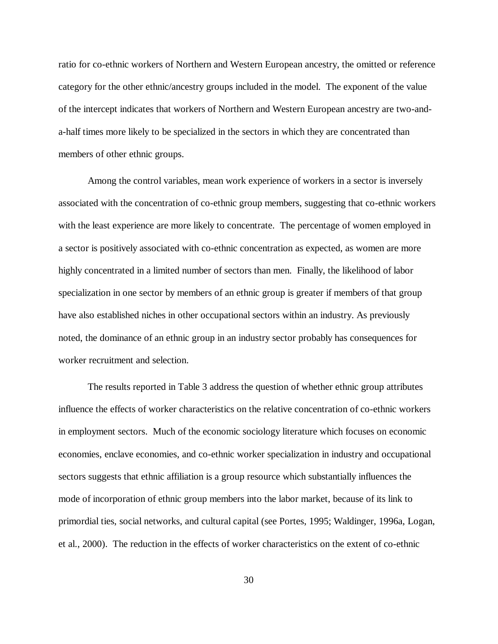ratio for co-ethnic workers of Northern and Western European ancestry, the omitted or reference category for the other ethnic/ancestry groups included in the model. The exponent of the value of the intercept indicates that workers of Northern and Western European ancestry are two-anda-half times more likely to be specialized in the sectors in which they are concentrated than members of other ethnic groups.

Among the control variables, mean work experience of workers in a sector is inversely associated with the concentration of co-ethnic group members, suggesting that co-ethnic workers with the least experience are more likely to concentrate. The percentage of women employed in a sector is positively associated with co-ethnic concentration as expected, as women are more highly concentrated in a limited number of sectors than men. Finally, the likelihood of labor specialization in one sector by members of an ethnic group is greater if members of that group have also established niches in other occupational sectors within an industry. As previously noted, the dominance of an ethnic group in an industry sector probably has consequences for worker recruitment and selection.

The results reported in Table 3 address the question of whether ethnic group attributes influence the effects of worker characteristics on the relative concentration of co-ethnic workers in employment sectors. Much of the economic sociology literature which focuses on economic economies, enclave economies, and co-ethnic worker specialization in industry and occupational sectors suggests that ethnic affiliation is a group resource which substantially influences the mode of incorporation of ethnic group members into the labor market, because of its link to primordial ties, social networks, and cultural capital (see Portes, 1995; Waldinger, 1996a, Logan, et al., 2000). The reduction in the effects of worker characteristics on the extent of co-ethnic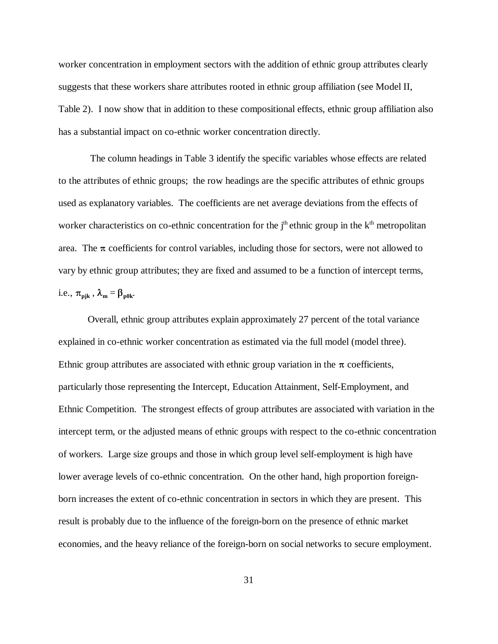worker concentration in employment sectors with the addition of ethnic group attributes clearly suggests that these workers share attributes rooted in ethnic group affiliation (see Model II, Table 2). I now show that in addition to these compositional effects, ethnic group affiliation also has a substantial impact on co-ethnic worker concentration directly.

The column headings in Table 3 identify the specific variables whose effects are related to the attributes of ethnic groups; the row headings are the specific attributes of ethnic groups used as explanatory variables. The coefficients are net average deviations from the effects of worker characteristics on co-ethnic concentration for the  $j<sup>th</sup>$  ethnic group in the  $k<sup>th</sup>$  metropolitan area. The  $\pi$  coefficients for control variables, including those for sectors, were not allowed to vary by ethnic group attributes; they are fixed and assumed to be a function of intercept terms, i.e.,  $\pi_{\text{pjk}}$ ,  $\lambda_{\text{m}} = \beta_{\text{p0k}}$ .

Overall, ethnic group attributes explain approximately 27 percent of the total variance explained in co-ethnic worker concentration as estimated via the full model (model three). Ethnic group attributes are associated with ethnic group variation in the  $\pi$  coefficients, particularly those representing the Intercept, Education Attainment, Self-Employment, and Ethnic Competition. The strongest effects of group attributes are associated with variation in the intercept term, or the adjusted means of ethnic groups with respect to the co-ethnic concentration of workers. Large size groups and those in which group level self-employment is high have lower average levels of co-ethnic concentration. On the other hand, high proportion foreignborn increases the extent of co-ethnic concentration in sectors in which they are present. This result is probably due to the influence of the foreign-born on the presence of ethnic market economies, and the heavy reliance of the foreign-born on social networks to secure employment.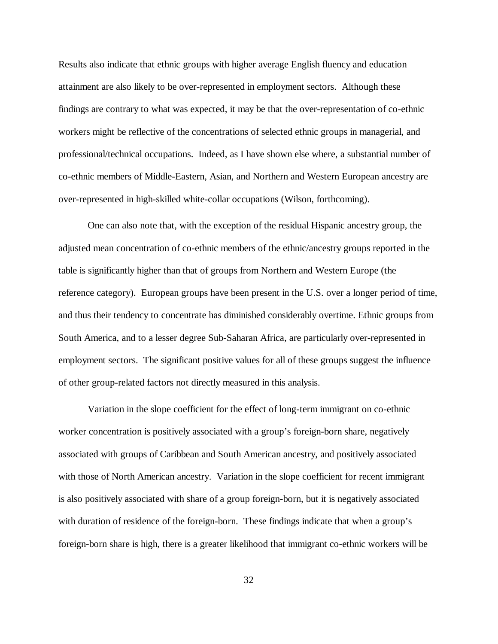Results also indicate that ethnic groups with higher average English fluency and education attainment are also likely to be over-represented in employment sectors. Although these findings are contrary to what was expected, it may be that the over-representation of co-ethnic workers might be reflective of the concentrations of selected ethnic groups in managerial, and professional/technical occupations. Indeed, as I have shown else where, a substantial number of co-ethnic members of Middle-Eastern, Asian, and Northern and Western European ancestry are over-represented in high-skilled white-collar occupations (Wilson, forthcoming).

One can also note that, with the exception of the residual Hispanic ancestry group, the adjusted mean concentration of co-ethnic members of the ethnic/ancestry groups reported in the table is significantly higher than that of groups from Northern and Western Europe (the reference category). European groups have been present in the U.S. over a longer period of time, and thus their tendency to concentrate has diminished considerably overtime. Ethnic groups from South America, and to a lesser degree Sub-Saharan Africa, are particularly over-represented in employment sectors. The significant positive values for all of these groups suggest the influence of other group-related factors not directly measured in this analysis.

Variation in the slope coefficient for the effect of long-term immigrant on co-ethnic worker concentration is positively associated with a group's foreign-born share, negatively associated with groups of Caribbean and South American ancestry, and positively associated with those of North American ancestry. Variation in the slope coefficient for recent immigrant is also positively associated with share of a group foreign-born, but it is negatively associated with duration of residence of the foreign-born. These findings indicate that when a group's foreign-born share is high, there is a greater likelihood that immigrant co-ethnic workers will be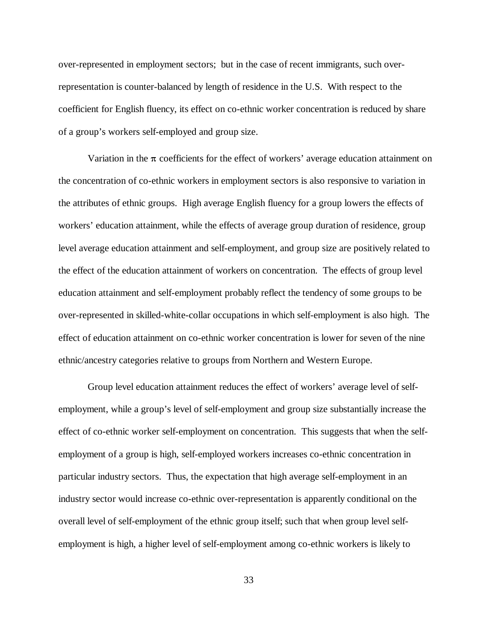over-represented in employment sectors; but in the case of recent immigrants, such overrepresentation is counter-balanced by length of residence in the U.S. With respect to the coefficient for English fluency, its effect on co-ethnic worker concentration is reduced by share of a group's workers self-employed and group size.

Variation in the  $\pi$  coefficients for the effect of workers' average education attainment on the concentration of co-ethnic workers in employment sectors is also responsive to variation in the attributes of ethnic groups. High average English fluency for a group lowers the effects of workers' education attainment, while the effects of average group duration of residence, group level average education attainment and self-employment, and group size are positively related to the effect of the education attainment of workers on concentration. The effects of group level education attainment and self-employment probably reflect the tendency of some groups to be over-represented in skilled-white-collar occupations in which self-employment is also high. The effect of education attainment on co-ethnic worker concentration is lower for seven of the nine ethnic/ancestry categories relative to groups from Northern and Western Europe.

Group level education attainment reduces the effect of workers' average level of selfemployment, while a group's level of self-employment and group size substantially increase the effect of co-ethnic worker self-employment on concentration. This suggests that when the selfemployment of a group is high, self-employed workers increases co-ethnic concentration in particular industry sectors. Thus, the expectation that high average self-employment in an industry sector would increase co-ethnic over-representation is apparently conditional on the overall level of self-employment of the ethnic group itself; such that when group level selfemployment is high, a higher level of self-employment among co-ethnic workers is likely to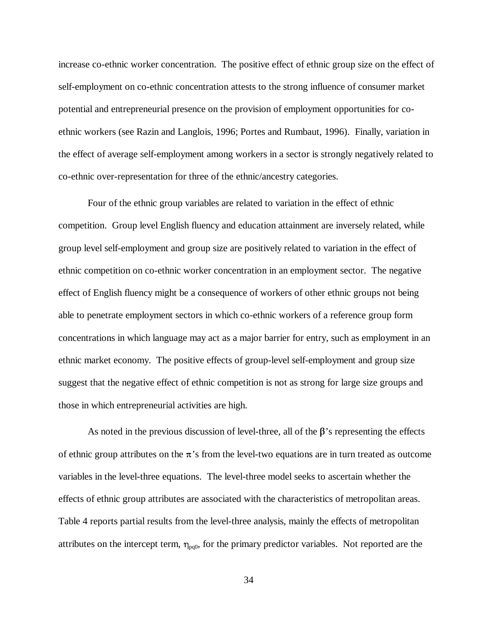increase co-ethnic worker concentration. The positive effect of ethnic group size on the effect of self-employment on co-ethnic concentration attests to the strong influence of consumer market potential and entrepreneurial presence on the provision of employment opportunities for coethnic workers (see Razin and Langlois, 1996; Portes and Rumbaut, 1996). Finally, variation in the effect of average self-employment among workers in a sector is strongly negatively related to co-ethnic over-representation for three of the ethnic/ancestry categories.

Four of the ethnic group variables are related to variation in the effect of ethnic competition. Group level English fluency and education attainment are inversely related, while group level self-employment and group size are positively related to variation in the effect of ethnic competition on co-ethnic worker concentration in an employment sector. The negative effect of English fluency might be a consequence of workers of other ethnic groups not being able to penetrate employment sectors in which co-ethnic workers of a reference group form concentrations in which language may act as a major barrier for entry, such as employment in an ethnic market economy. The positive effects of group-level self-employment and group size suggest that the negative effect of ethnic competition is not as strong for large size groups and those in which entrepreneurial activities are high.

As noted in the previous discussion of level-three, all of the  $\beta$ 's representing the effects of ethnic group attributes on the  $\pi$ 's from the level-two equations are in turn treated as outcome variables in the level-three equations. The level-three model seeks to ascertain whether the effects of ethnic group attributes are associated with the characteristics of metropolitan areas. Table 4 reports partial results from the level-three analysis, mainly the effects of metropolitan attributes on the intercept term,  $\eta_{pq0}$ , for the primary predictor variables. Not reported are the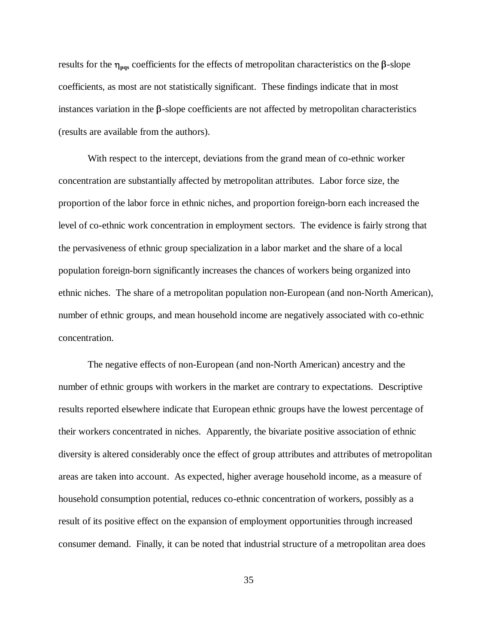results for the  $\eta_{\text{pos}}$  coefficients for the effects of metropolitan characteristics on the  $\beta$ -slope coefficients, as most are not statistically significant. These findings indicate that in most instances variation in the  $\beta$ -slope coefficients are not affected by metropolitan characteristics (results are available from the authors).

With respect to the intercept, deviations from the grand mean of co-ethnic worker concentration are substantially affected by metropolitan attributes. Labor force size, the proportion of the labor force in ethnic niches, and proportion foreign-born each increased the level of co-ethnic work concentration in employment sectors. The evidence is fairly strong that the pervasiveness of ethnic group specialization in a labor market and the share of a local population foreign-born significantly increases the chances of workers being organized into ethnic niches. The share of a metropolitan population non-European (and non-North American), number of ethnic groups, and mean household income are negatively associated with co-ethnic concentration.

The negative effects of non-European (and non-North American) ancestry and the number of ethnic groups with workers in the market are contrary to expectations. Descriptive results reported elsewhere indicate that European ethnic groups have the lowest percentage of their workers concentrated in niches. Apparently, the bivariate positive association of ethnic diversity is altered considerably once the effect of group attributes and attributes of metropolitan areas are taken into account. As expected, higher average household income, as a measure of household consumption potential, reduces co-ethnic concentration of workers, possibly as a result of its positive effect on the expansion of employment opportunities through increased consumer demand. Finally, it can be noted that industrial structure of a metropolitan area does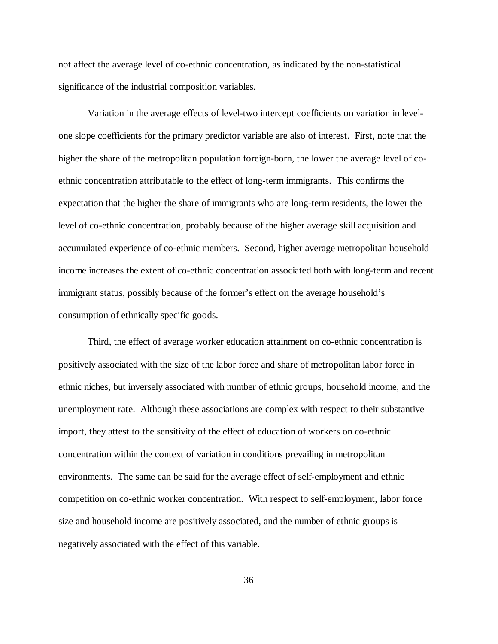not affect the average level of co-ethnic concentration, as indicated by the non-statistical significance of the industrial composition variables.

Variation in the average effects of level-two intercept coefficients on variation in levelone slope coefficients for the primary predictor variable are also of interest. First, note that the higher the share of the metropolitan population foreign-born, the lower the average level of coethnic concentration attributable to the effect of long-term immigrants. This confirms the expectation that the higher the share of immigrants who are long-term residents, the lower the level of co-ethnic concentration, probably because of the higher average skill acquisition and accumulated experience of co-ethnic members. Second, higher average metropolitan household income increases the extent of co-ethnic concentration associated both with long-term and recent immigrant status, possibly because of the former's effect on the average household's consumption of ethnically specific goods.

Third, the effect of average worker education attainment on co-ethnic concentration is positively associated with the size of the labor force and share of metropolitan labor force in ethnic niches, but inversely associated with number of ethnic groups, household income, and the unemployment rate. Although these associations are complex with respect to their substantive import, they attest to the sensitivity of the effect of education of workers on co-ethnic concentration within the context of variation in conditions prevailing in metropolitan environments. The same can be said for the average effect of self-employment and ethnic competition on co-ethnic worker concentration. With respect to self-employment, labor force size and household income are positively associated, and the number of ethnic groups is negatively associated with the effect of this variable.

36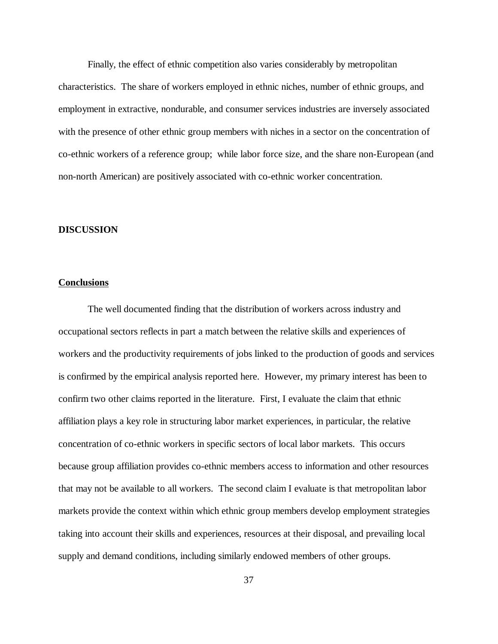Finally, the effect of ethnic competition also varies considerably by metropolitan characteristics. The share of workers employed in ethnic niches, number of ethnic groups, and employment in extractive, nondurable, and consumer services industries are inversely associated with the presence of other ethnic group members with niches in a sector on the concentration of co-ethnic workers of a reference group; while labor force size, and the share non-European (and non-north American) are positively associated with co-ethnic worker concentration.

### **DISCUSSION**

## **Conclusions**

The well documented finding that the distribution of workers across industry and occupational sectors reflects in part a match between the relative skills and experiences of workers and the productivity requirements of jobs linked to the production of goods and services is confirmed by the empirical analysis reported here. However, my primary interest has been to confirm two other claims reported in the literature. First, I evaluate the claim that ethnic affiliation plays a key role in structuring labor market experiences, in particular, the relative concentration of co-ethnic workers in specific sectors of local labor markets. This occurs because group affiliation provides co-ethnic members access to information and other resources that may not be available to all workers. The second claim I evaluate is that metropolitan labor markets provide the context within which ethnic group members develop employment strategies taking into account their skills and experiences, resources at their disposal, and prevailing local supply and demand conditions, including similarly endowed members of other groups.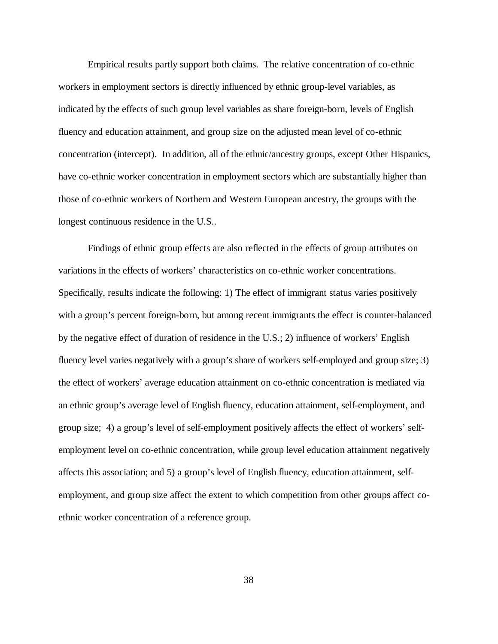Empirical results partly support both claims. The relative concentration of co-ethnic workers in employment sectors is directly influenced by ethnic group-level variables, as indicated by the effects of such group level variables as share foreign-born, levels of English fluency and education attainment, and group size on the adjusted mean level of co-ethnic concentration (intercept). In addition, all of the ethnic/ancestry groups, except Other Hispanics, have co-ethnic worker concentration in employment sectors which are substantially higher than those of co-ethnic workers of Northern and Western European ancestry, the groups with the longest continuous residence in the U.S..

Findings of ethnic group effects are also reflected in the effects of group attributes on variations in the effects of workers' characteristics on co-ethnic worker concentrations. Specifically, results indicate the following: 1) The effect of immigrant status varies positively with a group's percent foreign-born, but among recent immigrants the effect is counter-balanced by the negative effect of duration of residence in the U.S.; 2) influence of workers' English fluency level varies negatively with a group's share of workers self-employed and group size; 3) the effect of workers' average education attainment on co-ethnic concentration is mediated via an ethnic group's average level of English fluency, education attainment, self-employment, and group size; 4) a group's level of self-employment positively affects the effect of workers' selfemployment level on co-ethnic concentration, while group level education attainment negatively affects this association; and 5) a group's level of English fluency, education attainment, selfemployment, and group size affect the extent to which competition from other groups affect coethnic worker concentration of a reference group.

38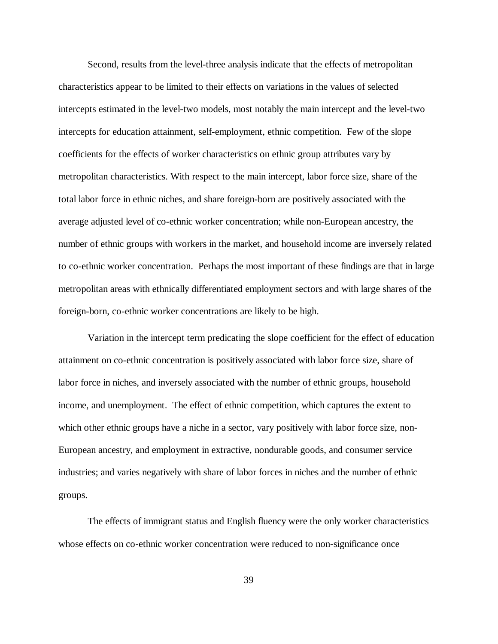Second, results from the level-three analysis indicate that the effects of metropolitan characteristics appear to be limited to their effects on variations in the values of selected intercepts estimated in the level-two models, most notably the main intercept and the level-two intercepts for education attainment, self-employment, ethnic competition. Few of the slope coefficients for the effects of worker characteristics on ethnic group attributes vary by metropolitan characteristics. With respect to the main intercept, labor force size, share of the total labor force in ethnic niches, and share foreign-born are positively associated with the average adjusted level of co-ethnic worker concentration; while non-European ancestry, the number of ethnic groups with workers in the market, and household income are inversely related to co-ethnic worker concentration. Perhaps the most important of these findings are that in large metropolitan areas with ethnically differentiated employment sectors and with large shares of the foreign-born, co-ethnic worker concentrations are likely to be high.

Variation in the intercept term predicating the slope coefficient for the effect of education attainment on co-ethnic concentration is positively associated with labor force size, share of labor force in niches, and inversely associated with the number of ethnic groups, household income, and unemployment. The effect of ethnic competition, which captures the extent to which other ethnic groups have a niche in a sector, vary positively with labor force size, non-European ancestry, and employment in extractive, nondurable goods, and consumer service industries; and varies negatively with share of labor forces in niches and the number of ethnic groups.

The effects of immigrant status and English fluency were the only worker characteristics whose effects on co-ethnic worker concentration were reduced to non-significance once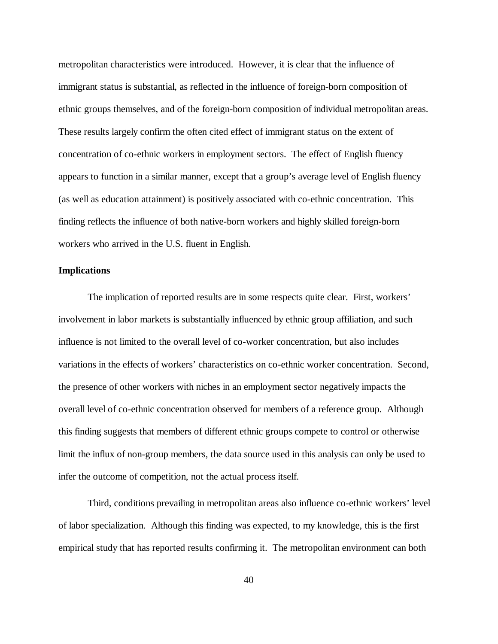metropolitan characteristics were introduced. However, it is clear that the influence of immigrant status is substantial, as reflected in the influence of foreign-born composition of ethnic groups themselves, and of the foreign-born composition of individual metropolitan areas. These results largely confirm the often cited effect of immigrant status on the extent of concentration of co-ethnic workers in employment sectors. The effect of English fluency appears to function in a similar manner, except that a group's average level of English fluency (as well as education attainment) is positively associated with co-ethnic concentration. This finding reflects the influence of both native-born workers and highly skilled foreign-born workers who arrived in the U.S. fluent in English.

#### **Implications**

The implication of reported results are in some respects quite clear. First, workers' involvement in labor markets is substantially influenced by ethnic group affiliation, and such influence is not limited to the overall level of co-worker concentration, but also includes variations in the effects of workers' characteristics on co-ethnic worker concentration. Second, the presence of other workers with niches in an employment sector negatively impacts the overall level of co-ethnic concentration observed for members of a reference group. Although this finding suggests that members of different ethnic groups compete to control or otherwise limit the influx of non-group members, the data source used in this analysis can only be used to infer the outcome of competition, not the actual process itself.

Third, conditions prevailing in metropolitan areas also influence co-ethnic workers' level of labor specialization. Although this finding was expected, to my knowledge, this is the first empirical study that has reported results confirming it. The metropolitan environment can both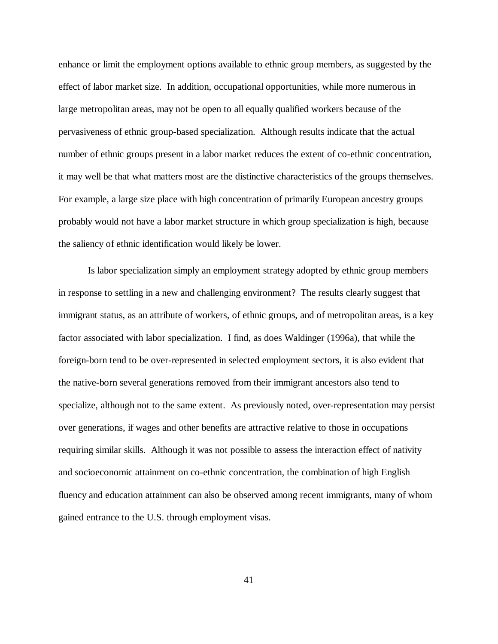enhance or limit the employment options available to ethnic group members, as suggested by the effect of labor market size. In addition, occupational opportunities, while more numerous in large metropolitan areas, may not be open to all equally qualified workers because of the pervasiveness of ethnic group-based specialization. Although results indicate that the actual number of ethnic groups present in a labor market reduces the extent of co-ethnic concentration, it may well be that what matters most are the distinctive characteristics of the groups themselves. For example, a large size place with high concentration of primarily European ancestry groups probably would not have a labor market structure in which group specialization is high, because the saliency of ethnic identification would likely be lower.

Is labor specialization simply an employment strategy adopted by ethnic group members in response to settling in a new and challenging environment? The results clearly suggest that immigrant status, as an attribute of workers, of ethnic groups, and of metropolitan areas, is a key factor associated with labor specialization. I find, as does Waldinger (1996a), that while the foreign-born tend to be over-represented in selected employment sectors, it is also evident that the native-born several generations removed from their immigrant ancestors also tend to specialize, although not to the same extent. As previously noted, over-representation may persist over generations, if wages and other benefits are attractive relative to those in occupations requiring similar skills. Although it was not possible to assess the interaction effect of nativity and socioeconomic attainment on co-ethnic concentration, the combination of high English fluency and education attainment can also be observed among recent immigrants, many of whom gained entrance to the U.S. through employment visas.

41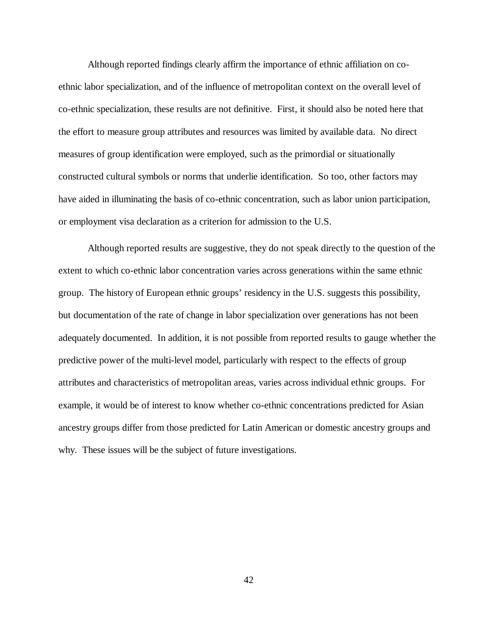Although reported findings clearly affirm the importance of ethnic affiliation on coethnic labor specialization, and of the influence of metropolitan context on the overall level of co-ethnic specialization, these results are not definitive. First, it should also be noted here that the effort to measure group attributes and resources was limited by available data. No direct measures of group identification were employed, such as the primordial or situationally constructed cultural symbols or norms that underlie identification. So too, other factors may have aided in illuminating the basis of co-ethnic concentration, such as labor union participation, or employment visa declaration as a criterion for admission to the U.S.

Although reported results are suggestive, they do not speak directly to the question of the extent to which co-ethnic labor concentration varies across generations within the same ethnic group. The history of European ethnic groups' residency in the U.S. suggests this possibility, but documentation of the rate of change in labor specialization over generations has not been adequately documented. In addition, it is not possible from reported results to gauge whether the predictive power of the multi-level model, particularly with respect to the effects of group attributes and characteristics of metropolitan areas, varies across individual ethnic groups. For example, it would be of interest to know whether co-ethnic concentrations predicted for Asian ancestry groups differ from those predicted for Latin American or domestic ancestry groups and why. These issues will be the subject of future investigations.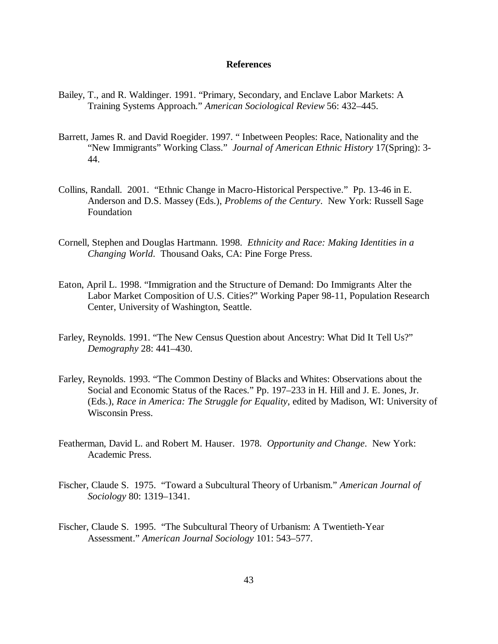### **References**

- Bailey, T., and R. Waldinger. 1991. "Primary, Secondary, and Enclave Labor Markets: A Training Systems Approach." *American Sociological Review* 56: 432–445.
- Barrett, James R. and David Roegider. 1997. " Inbetween Peoples: Race, Nationality and the "New Immigrants" Working Class." *Journal of American Ethnic History* 17(Spring): 3- 44.
- Collins, Randall. 2001. "Ethnic Change in Macro-Historical Perspective." Pp. 13-46 in E. Anderson and D.S. Massey (Eds.), *Problems of the Century*. New York: Russell Sage Foundation
- Cornell, Stephen and Douglas Hartmann. 1998. *Ethnicity and Race: Making Identities in a Changing World*. Thousand Oaks, CA: Pine Forge Press.
- Eaton, April L. 1998. "Immigration and the Structure of Demand: Do Immigrants Alter the Labor Market Composition of U.S. Cities?" Working Paper 98-11, Population Research Center, University of Washington, Seattle.
- Farley, Reynolds. 1991. "The New Census Question about Ancestry: What Did It Tell Us?" *Demography* 28: 441–430.
- Farley, Reynolds. 1993. "The Common Destiny of Blacks and Whites: Observations about the Social and Economic Status of the Races." Pp. 197–233 in H. Hill and J. E. Jones, Jr. (Eds.), *Race in America: The Struggle for Equality*, edited by Madison, WI: University of Wisconsin Press.
- Featherman, David L. and Robert M. Hauser. 1978. *Opportunity and Change*. New York: Academic Press.
- Fischer, Claude S. 1975. "Toward a Subcultural Theory of Urbanism." *American Journal of Sociology* 80: 1319–1341.
- Fischer, Claude S. 1995. "The Subcultural Theory of Urbanism: A Twentieth-Year Assessment." *American Journal Sociology* 101: 543–577.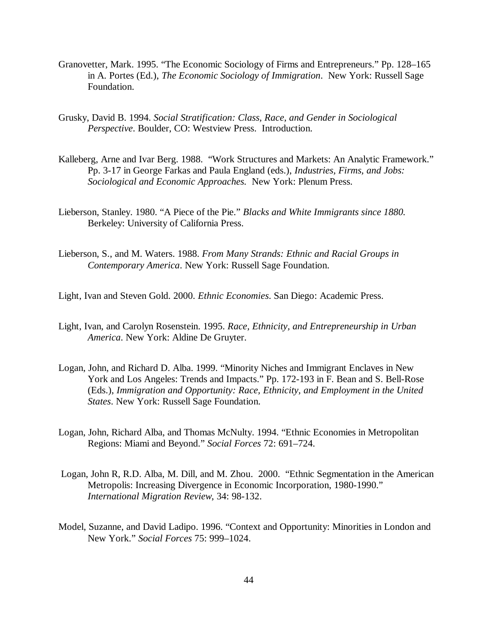- Granovetter, Mark. 1995. "The Economic Sociology of Firms and Entrepreneurs." Pp. 128–165 in A. Portes (Ed.), *The Economic Sociology of Immigration*. New York: Russell Sage Foundation.
- Grusky, David B. 1994. *Social Stratification: Class, Race, and Gender in Sociological Perspective*. Boulder, CO: Westview Press. Introduction.
- Kalleberg, Arne and Ivar Berg. 1988. "Work Structures and Markets: An Analytic Framework." Pp. 3-17 in George Farkas and Paula England (eds.), *Industries, Firms, and Jobs: Sociological and Economic Approaches.* New York: Plenum Press.
- Lieberson, Stanley. 1980. "A Piece of the Pie." *Blacks and White Immigrants since 1880.* Berkeley: University of California Press.
- Lieberson, S., and M. Waters. 1988. *From Many Strands: Ethnic and Racial Groups in Contemporary America*. New York: Russell Sage Foundation.
- Light, Ivan and Steven Gold. 2000. *Ethnic Economies*. San Diego: Academic Press.
- Light, Ivan, and Carolyn Rosenstein. 1995. *Race, Ethnicity, and Entrepreneurship in Urban America*. New York: Aldine De Gruyter.
- Logan, John, and Richard D. Alba. 1999. "Minority Niches and Immigrant Enclaves in New York and Los Angeles: Trends and Impacts." Pp. 172-193 in F. Bean and S. Bell-Rose (Eds.), *Immigration and Opportunity: Race, Ethnicity, and Employment in the United States*. New York: Russell Sage Foundation.
- Logan, John, Richard Alba, and Thomas McNulty. 1994. "Ethnic Economies in Metropolitan Regions: Miami and Beyond." *Social Forces* 72: 691–724.
- Logan, John R, R.D. Alba, M. Dill, and M. Zhou. 2000. "Ethnic Segmentation in the American Metropolis: Increasing Divergence in Economic Incorporation, 1980-1990." *International Migration Review*, 34: 98-132.
- Model, Suzanne, and David Ladipo. 1996. "Context and Opportunity: Minorities in London and New York." *Social Forces* 75: 999–1024.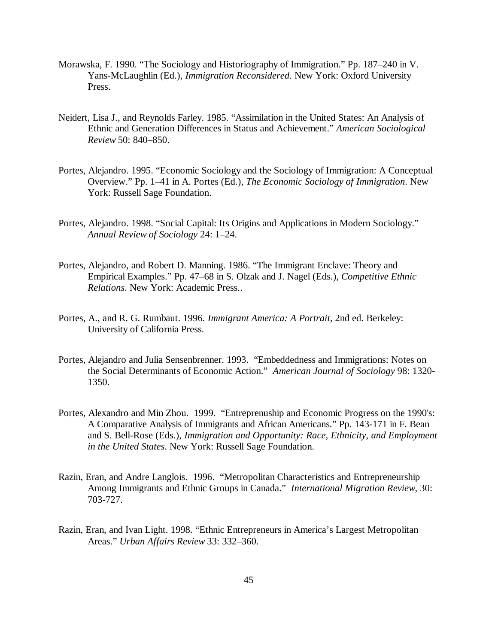- Morawska, F. 1990. "The Sociology and Historiography of Immigration." Pp. 187–240 in V. Yans-McLaughlin (Ed.), *Immigration Reconsidered*. New York: Oxford University Press.
- Neidert, Lisa J., and Reynolds Farley. 1985. "Assimilation in the United States: An Analysis of Ethnic and Generation Differences in Status and Achievement." *American Sociological Review* 50: 840–850.
- Portes, Alejandro. 1995. "Economic Sociology and the Sociology of Immigration: A Conceptual Overview." Pp. 1–41 in A. Portes (Ed.), *The Economic Sociology of Immigration*. New York: Russell Sage Foundation.
- Portes, Alejandro. 1998. "Social Capital: Its Origins and Applications in Modern Sociology." *Annual Review of Sociology* 24: 1–24.
- Portes, Alejandro, and Robert D. Manning. 1986. "The Immigrant Enclave: Theory and Empirical Examples." Pp. 47–68 in S. Olzak and J. Nagel (Eds.), *Competitive Ethnic Relations*. New York: Academic Press..
- Portes, A., and R. G. Rumbaut. 1996. *Immigrant America: A Portrait,* 2nd ed. Berkeley: University of California Press.
- Portes, Alejandro and Julia Sensenbrenner. 1993. "Embeddedness and Immigrations: Notes on the Social Determinants of Economic Action." *American Journal of Sociology* 98: 1320- 1350.
- Portes, Alexandro and Min Zhou. 1999. "Entreprenuship and Economic Progress on the 1990's: A Comparative Analysis of Immigrants and African Americans." Pp. 143-171 in F. Bean and S. Bell-Rose (Eds.), *Immigration and Opportunity: Race, Ethnicity, and Employment in the United States*. New York: Russell Sage Foundation.
- Razin, Eran, and Andre Langlois. 1996. "Metropolitan Characteristics and Entrepreneurship Among Immigrants and Ethnic Groups in Canada." *International Migration Review*, 30: 703-727.
- Razin, Eran, and Ivan Light. 1998. "Ethnic Entrepreneurs in America's Largest Metropolitan Areas." *Urban Affairs Review* 33: 332–360.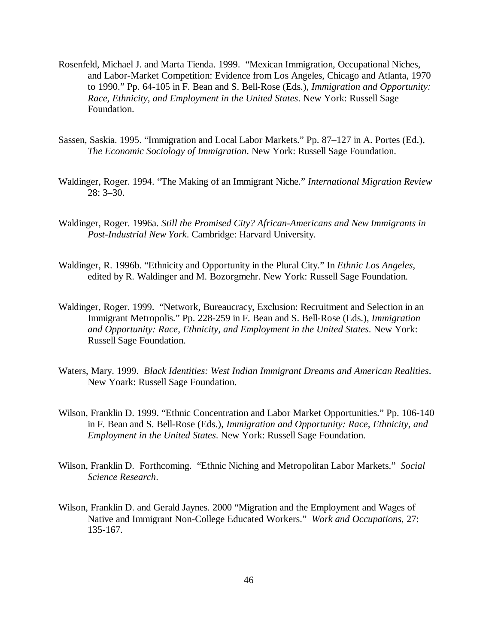- Rosenfeld, Michael J. and Marta Tienda. 1999. "Mexican Immigration, Occupational Niches, and Labor-Market Competition: Evidence from Los Angeles, Chicago and Atlanta, 1970 to 1990." Pp. 64-105 in F. Bean and S. Bell-Rose (Eds.), *Immigration and Opportunity: Race, Ethnicity, and Employment in the United States*. New York: Russell Sage Foundation.
- Sassen, Saskia. 1995. "Immigration and Local Labor Markets." Pp. 87–127 in A. Portes (Ed.), *The Economic Sociology of Immigration*. New York: Russell Sage Foundation.
- Waldinger, Roger. 1994. "The Making of an Immigrant Niche." *International Migration Review* 28: 3–30.
- Waldinger, Roger. 1996a. *Still the Promised City? African-Americans and New Immigrants in Post-Industrial New York*. Cambridge: Harvard University.
- Waldinger, R. 1996b. "Ethnicity and Opportunity in the Plural City." In *Ethnic Los Angeles*, edited by R. Waldinger and M. Bozorgmehr. New York: Russell Sage Foundation.
- Waldinger, Roger. 1999. "Network, Bureaucracy, Exclusion: Recruitment and Selection in an Immigrant Metropolis." Pp. 228-259 in F. Bean and S. Bell-Rose (Eds.), *Immigration and Opportunity: Race, Ethnicity, and Employment in the United States*. New York: Russell Sage Foundation.
- Waters, Mary. 1999. *Black Identities: West Indian Immigrant Dreams and American Realities*. New Yoark: Russell Sage Foundation.
- Wilson, Franklin D. 1999. "Ethnic Concentration and Labor Market Opportunities." Pp. 106-140 in F. Bean and S. Bell-Rose (Eds.), *Immigration and Opportunity: Race, Ethnicity, and Employment in the United States*. New York: Russell Sage Foundation.
- Wilson, Franklin D. Forthcoming. "Ethnic Niching and Metropolitan Labor Markets." *Social Science Research*.
- Wilson, Franklin D. and Gerald Jaynes. 2000 "Migration and the Employment and Wages of Native and Immigrant Non-College Educated Workers." *Work and Occupations*, 27: 135-167.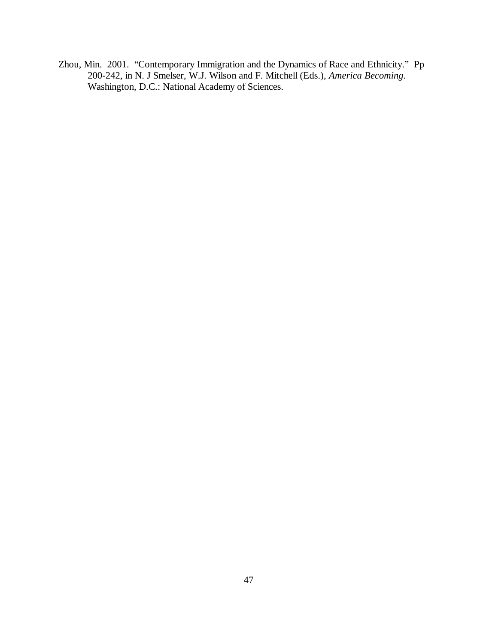Zhou, Min. 2001. "Contemporary Immigration and the Dynamics of Race and Ethnicity." Pp 200-242, in N. J Smelser, W.J. Wilson and F. Mitchell (Eds.), *America Becoming*. Washington, D.C.: National Academy of Sciences.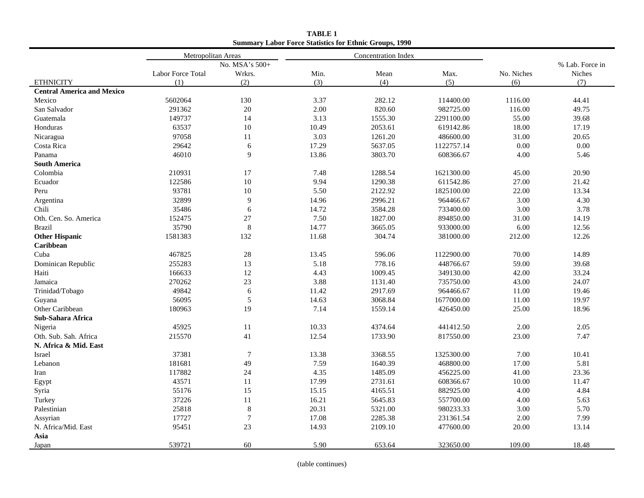|                                   | Metropolitan Areas |                | <b>Concentration Index</b> |         |            |            |                 |
|-----------------------------------|--------------------|----------------|----------------------------|---------|------------|------------|-----------------|
|                                   |                    | No. MSA's 500+ |                            |         |            |            | % Lab. Force in |
|                                   | Labor Force Total  | Wrkrs.         | Min.                       | Mean    | Max.       | No. Niches | Niches          |
| <b>ETHNICITY</b>                  | (1)                | (2)            | (3)                        | (4)     | (5)        | (6)        | (7)             |
| <b>Central America and Mexico</b> |                    |                |                            |         |            |            |                 |
| Mexico                            | 5602064            | 130            | 3.37                       | 282.12  | 114400.00  | 1116.00    | 44.41           |
| San Salvador                      | 291362             | 20             | 2.00                       | 820.60  | 982725.00  | 116.00     | 49.75           |
| Guatemala                         | 149737             | 14             | 3.13                       | 1555.30 | 2291100.00 | 55.00      | 39.68           |
| Honduras                          | 63537              | 10             | 10.49                      | 2053.61 | 619142.86  | 18.00      | 17.19           |
| Nicaragua                         | 97058              | 11             | 3.03                       | 1261.20 | 486600.00  | 31.00      | 20.65           |
| Costa Rica                        | 29642              | 6              | 17.29                      | 5637.05 | 1122757.14 | 0.00       | 0.00            |
| Panama                            | 46010              | $\mathbf Q$    | 13.86                      | 3803.70 | 608366.67  | 4.00       | 5.46            |
| <b>South America</b>              |                    |                |                            |         |            |            |                 |
| Colombia                          | 210931             | 17             | 7.48                       | 1288.54 | 1621300.00 | 45.00      | 20.90           |
| Ecuador                           | 122586             | 10             | 9.94                       | 1290.38 | 611542.86  | 27.00      | 21.42           |
| Peru                              | 93781              | 10             | 5.50                       | 2122.92 | 1825100.00 | 22.00      | 13.34           |
| Argentina                         | 32899              | 9              | 14.96                      | 2996.21 | 964466.67  | 3.00       | 4.30            |
| Chili                             | 35486              | 6              | 14.72                      | 3584.28 | 733400.00  | 3.00       | 3.78            |
| Oth. Cen. So. America             | 152475             | 27             | 7.50                       | 1827.00 | 894850.00  | 31.00      | 14.19           |
| <b>Brazil</b>                     | 35790              | 8              | 14.77                      | 3665.05 | 933000.00  | 6.00       | 12.56           |
| <b>Other Hispanic</b>             | 1581383            | 132            | 11.68                      | 304.74  | 381000.00  | 212.00     | 12.26           |
| Caribbean                         |                    |                |                            |         |            |            |                 |
| Cuba                              | 467825             | 28             | 13.45                      | 596.06  | 1122900.00 | 70.00      | 14.89           |
| Dominican Republic                | 255283             | 13             | 5.18                       | 778.16  | 448766.67  | 59.00      | 39.68           |
| Haiti                             | 166633             | 12             | 4.43                       | 1009.45 | 349130.00  | 42.00      | 33.24           |
| Jamaica                           | 270262             | 23             | 3.88                       | 1131.40 | 735750.00  | 43.00      | 24.07           |
| Trinidad/Tobago                   | 49842              | 6              | 11.42                      | 2917.69 | 964466.67  | 11.00      | 19.46           |
| Guyana                            | 56095              | 5              | 14.63                      | 3068.84 | 1677000.00 | 11.00      | 19.97           |
| Other Caribbean                   | 180963             | 19             | 7.14                       | 1559.14 | 426450.00  | 25.00      | 18.96           |
| Sub-Sahara Africa                 |                    |                |                            |         |            |            |                 |
| Nigeria                           | 45925              | 11             | 10.33                      | 4374.64 | 441412.50  | 2.00       | 2.05            |
| Oth. Sub. Sah. Africa             | 215570             | 41             | 12.54                      | 1733.90 | 817550.00  | 23.00      | 7.47            |
| N. Africa & Mid. East             |                    |                |                            |         |            |            |                 |
| Israel                            | 37381              | $\overline{7}$ | 13.38                      | 3368.55 | 1325300.00 | 7.00       | 10.41           |
| Lebanon                           | 181681             | 49             | 7.59                       | 1640.39 | 468800.00  | 17.00      | 5.81            |
| Iran                              | 117882             | 24             | 4.35                       | 1485.09 | 456225.00  | 41.00      | 23.36           |
| Egypt                             | 43571              | 11             | 17.99                      | 2731.61 | 608366.67  | 10.00      | 11.47           |
| Syria                             | 55176              | 15             | 15.15                      | 4165.51 | 882925.00  | 4.00       | 4.84            |
| Turkey                            | 37226              | 11             | 16.21                      | 5645.83 | 557700.00  | 4.00       | 5.63            |
| Palestinian                       | 25818              | $\,$ 8 $\,$    | 20.31                      | 5321.00 | 980233.33  | 3.00       | 5.70            |
| Assyrian                          | 17727              | $\tau$         | 17.08                      | 2285.38 | 231361.54  | 2.00       | 7.99            |
| N. Africa/Mid. East               | 95451              | 23             | 14.93                      | 2109.10 | 477600.00  | 20.00      | 13.14           |
| Asia                              |                    |                |                            |         |            |            |                 |
| Japan                             | 539721             | 60             | 5.90                       | 653.64  | 323650.00  | 109.00     | 18.48           |

**TABLE 1 Summary Labor Force Statistics for Ethnic Groups, 1990**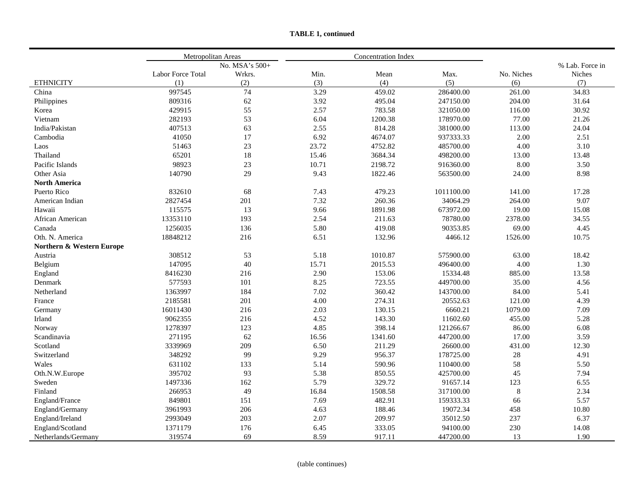|  | <b>TABLE 1, continued</b> |
|--|---------------------------|
|--|---------------------------|

|                           | Metropolitan Areas |                |       | Concentration Index |            |            |                 |
|---------------------------|--------------------|----------------|-------|---------------------|------------|------------|-----------------|
|                           |                    | No. MSA's 500+ |       |                     |            |            | % Lab. Force in |
|                           | Labor Force Total  | Wrkrs.         | Min.  | Mean                | Max.       | No. Niches | <b>Niches</b>   |
| <b>ETHNICITY</b>          | (1)                | (2)            | (3)   | (4)                 | (5)        | (6)        | (7)             |
| China                     | 997545             | 74             | 3.29  | 459.02              | 286400.00  | 261.00     | 34.83           |
| Philippines               | 809316             | 62             | 3.92  | 495.04              | 247150.00  | 204.00     | 31.64           |
| Korea                     | 429915             | 55             | 2.57  | 783.58              | 321050.00  | 116.00     | 30.92           |
| Vietnam                   | 282193             | 53             | 6.04  | 1200.38             | 178970.00  | 77.00      | 21.26           |
| India/Pakistan            | 407513             | 63             | 2.55  | 814.28              | 381000.00  | 113.00     | 24.04           |
| Cambodia                  | 41050              | 17             | 6.92  | 4674.07             | 937333.33  | 2.00       | 2.51            |
| Laos                      | 51463              | 23             | 23.72 | 4752.82             | 485700.00  | 4.00       | 3.10            |
| Thailand                  | 65201              | 18             | 15.46 | 3684.34             | 498200.00  | 13.00      | 13.48           |
| Pacific Islands           | 98923              | 23             | 10.71 | 2198.72             | 916360.00  | 8.00       | 3.50            |
| Other Asia                | 140790             | 29             | 9.43  | 1822.46             | 563500.00  | 24.00      | 8.98            |
| <b>North America</b>      |                    |                |       |                     |            |            |                 |
| Puerto Rico               | 832610             | 68             | 7.43  | 479.23              | 1011100.00 | 141.00     | 17.28           |
| American Indian           | 2827454            | 201            | 7.32  | 260.36              | 34064.29   | 264.00     | 9.07            |
| Hawaii                    | 115575             | 13             | 9.66  | 1891.98             | 673972.00  | 19.00      | 15.08           |
| African American          | 13353110           | 193            | 2.54  | 211.63              | 78780.00   | 2378.00    | 34.55           |
| Canada                    | 1256035            | 136            | 5.80  | 419.08              | 90353.85   | 69.00      | 4.45            |
| Oth. N. America           | 18848212           | 216            | 6.51  | 132.96              | 4466.12    | 1526.00    | 10.75           |
| Northern & Western Europe |                    |                |       |                     |            |            |                 |
| Austria                   | 308512             | 53             | 5.18  | 1010.87             | 575900.00  | 63.00      | 18.42           |
| Belgium                   | 147095             | 40             | 15.71 | 2015.53             | 496400.00  | 4.00       | 1.30            |
| England                   | 8416230            | 216            | 2.90  | 153.06              | 15334.48   | 885.00     | 13.58           |
| Denmark                   | 577593             | 101            | 8.25  | 723.55              | 449700.00  | 35.00      | 4.56            |
| Netherland                | 1363997            | 184            | 7.02  | 360.42              | 143700.00  | 84.00      | 5.41            |
| France                    | 2185581            | 201            | 4.00  | 274.31              | 20552.63   | 121.00     | 4.39            |
| Germany                   | 16011430           | 216            | 2.03  | 130.15              | 6660.21    | 1079.00    | 7.09            |
| Irland                    | 9062355            | 216            | 4.52  | 143.30              | 11602.60   | 455.00     | 5.28            |
| Norway                    | 1278397            | 123            | 4.85  | 398.14              | 121266.67  | 86.00      | 6.08            |
| Scandinavia               | 271195             | 62             | 16.56 | 1341.60             | 447200.00  | 17.00      | 3.59            |
| Scotland                  | 3339969            | 209            | 6.50  | 211.29              | 26600.00   | 431.00     | 12.30           |
| Switzerland               | 348292             | 99             | 9.29  | 956.37              | 178725.00  | $28\,$     | 4.91            |
| Wales                     | 631102             | 133            | 5.14  | 590.96              | 110400.00  | 58         | 5.50            |
| Oth.N.W.Europe            | 395702             | 93             | 5.38  | 850.55              | 425700.00  | 45         | 7.94            |
| Sweden                    | 1497336            | 162            | 5.79  | 329.72              | 91657.14   | 123        | 6.55            |
| Finland                   | 266953             | 49             | 16.84 | 1508.58             | 317100.00  | $\,8\,$    | 2.34            |
| England/France            | 849801             | 151            | 7.69  | 482.91              | 159333.33  | 66         | 5.57            |
| England/Germany           | 3961993            | 206            | 4.63  | 188.46              | 19072.34   | 458        | 10.80           |
| England/Ireland           | 2993049            | 203            | 2.07  | 209.97              | 35012.50   | 237        | 6.37            |
| England/Scotland          | 1371179            | 176            | 6.45  | 333.05              | 94100.00   | 230        | 14.08           |
| Netherlands/Germany       | 319574             | 69             | 8.59  | 917.11              | 447200.00  | 13         | 1.90            |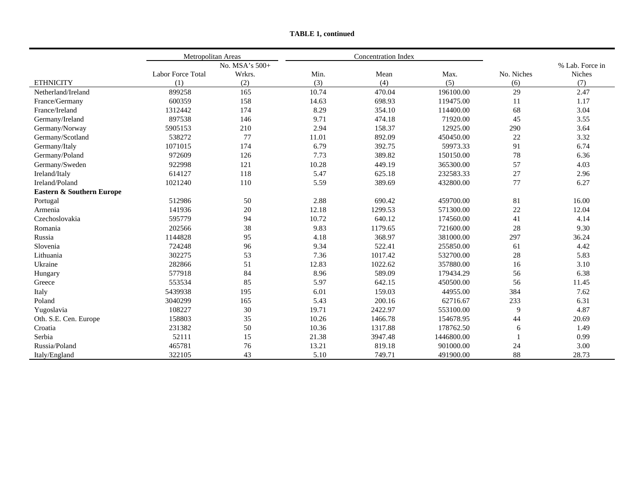|                           | Metropolitan Areas |                |       | <b>Concentration Index</b> |            |            |                 |
|---------------------------|--------------------|----------------|-------|----------------------------|------------|------------|-----------------|
|                           |                    | No. MSA's 500+ |       |                            |            |            | % Lab. Force in |
|                           | Labor Force Total  | Wrkrs.         | Min.  | Mean                       | Max.       | No. Niches | Niches          |
| <b>ETHNICITY</b>          | (1)                | (2)            | (3)   | (4)                        | (5)        | (6)        | (7)             |
| Netherland/Ireland        | 899258             | 165            | 10.74 | 470.04                     | 196100.00  | 29         | 2.47            |
| France/Germany            | 600359             | 158            | 14.63 | 698.93                     | 119475.00  | 11         | 1.17            |
| France/Ireland            | 1312442            | 174            | 8.29  | 354.10                     | 114400.00  | 68         | 3.04            |
| Germany/Ireland           | 897538             | 146            | 9.71  | 474.18                     | 71920.00   | 45         | 3.55            |
| Germany/Norway            | 5905153            | 210            | 2.94  | 158.37                     | 12925.00   | 290        | 3.64            |
| Germany/Scotland          | 538272             | 77             | 11.01 | 892.09                     | 450450.00  | $22\,$     | 3.32            |
| Germany/Italy             | 1071015            | 174            | 6.79  | 392.75                     | 59973.33   | 91         | 6.74            |
| Germany/Poland            | 972609             | 126            | 7.73  | 389.82                     | 150150.00  | 78         | 6.36            |
| Germany/Sweden            | 922998             | 121            | 10.28 | 449.19                     | 365300.00  | 57         | 4.03            |
| Ireland/Italy             | 614127             | 118            | 5.47  | 625.18                     | 232583.33  | 27         | 2.96            |
| Ireland/Poland            | 1021240            | 110            | 5.59  | 389.69                     | 432800.00  | 77         | 6.27            |
| Eastern & Southern Europe |                    |                |       |                            |            |            |                 |
| Portugal                  | 512986             | 50             | 2.88  | 690.42                     | 459700.00  | 81         | 16.00           |
| Armenia                   | 141936             | $20\,$         | 12.18 | 1299.53                    | 571300.00  | 22         | 12.04           |
| Czechoslovakia            | 595779             | 94             | 10.72 | 640.12                     | 174560.00  | 41         | 4.14            |
| Romania                   | 202566             | 38             | 9.83  | 1179.65                    | 721600.00  | 28         | 9.30            |
| Russia                    | 1144828            | 95             | 4.18  | 368.97                     | 381000.00  | 297        | 36.24           |
| Slovenia                  | 724248             | 96             | 9.34  | 522.41                     | 255850.00  | 61         | 4.42            |
| Lithuania                 | 302275             | 53             | 7.36  | 1017.42                    | 532700.00  | 28         | 5.83            |
| Ukraine                   | 282866             | 51             | 12.83 | 1022.62                    | 357880.00  | 16         | 3.10            |
| Hungary                   | 577918             | 84             | 8.96  | 589.09                     | 179434.29  | 56         | 6.38            |
| Greece                    | 553534             | 85             | 5.97  | 642.15                     | 450500.00  | 56         | 11.45           |
| Italy                     | 5439938            | 195            | 6.01  | 159.03                     | 44955.00   | 384        | 7.62            |
| Poland                    | 3040299            | 165            | 5.43  | 200.16                     | 62716.67   | 233        | 6.31            |
| Yugoslavia                | 108227             | 30             | 19.71 | 2422.97                    | 553100.00  | 9          | 4.87            |
| Oth. S.E. Cen. Europe     | 158803             | 35             | 10.26 | 1466.78                    | 154678.95  | 44         | 20.69           |
| Croatia                   | 231382             | 50             | 10.36 | 1317.88                    | 178762.50  | 6          | 1.49            |
| Serbia                    | 52111              | 15             | 21.38 | 3947.48                    | 1446800.00 |            | 0.99            |
| Russia/Poland             | 465781             | 76             | 13.21 | 819.18                     | 901000.00  | 24         | 3.00            |
| Italy/England             | 322105             | 43             | 5.10  | 749.71                     | 491900.00  | 88         | 28.73           |

**TABLE 1, continued**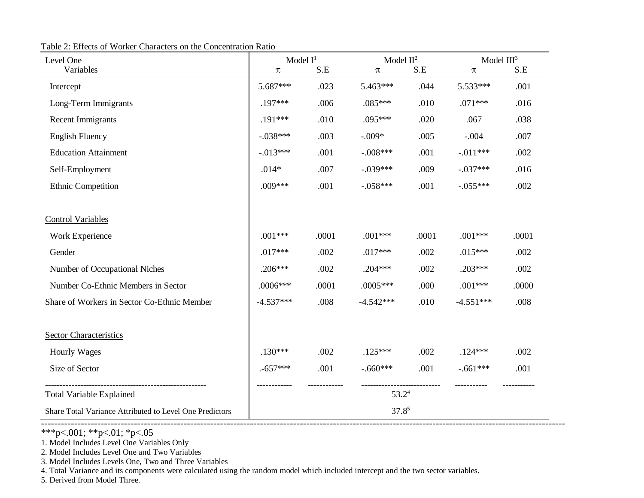Table 2: Effects of Worker Characters on the Concentration Ratio

| Level One                                               | Model $I^1$ |       | Model $II^2$      |       | Model $III3$ |       |  |
|---------------------------------------------------------|-------------|-------|-------------------|-------|--------------|-------|--|
| Variables                                               | π           | S.E   | π                 | S.E   | π            | S.E   |  |
| Intercept                                               | 5.687***    | .023  | 5.463***          | .044  | 5.533***     | .001  |  |
| Long-Term Immigrants                                    | $.197***$   | .006  | $.085***$         | .010  | $.071***$    | .016  |  |
| <b>Recent Immigrants</b>                                | .191***     | .010  | .095***           | .020  | .067         | .038  |  |
| <b>English Fluency</b>                                  | $-.038***$  | .003  | $-.009*$          | .005  | $-.004$      | .007  |  |
| <b>Education Attainment</b>                             | $-.013***$  | .001  | $-.008***$        | .001  | $-.011***$   | .002  |  |
| Self-Employment                                         | $.014*$     | .007  | $-.039***$        | .009  | $-.037***$   | .016  |  |
| Ethnic Competition                                      | .009***     | .001  | $-.058***$        | .001  | $-.055***$   | .002  |  |
| <b>Control Variables</b>                                |             |       |                   |       |              |       |  |
| Work Experience                                         | $.001***$   | .0001 | $.001***$         | .0001 | $.001***$    | .0001 |  |
| Gender                                                  | $.017***$   | .002  | $.017***$         | .002  | $.015***$    | .002  |  |
| Number of Occupational Niches                           | $.206***$   | .002  | $.204***$         | .002  | $.203***$    | .002  |  |
| Number Co-Ethnic Members in Sector                      | .0006***    | .0001 | $.0005***$        | .000  | $.001***$    | .0000 |  |
| Share of Workers in Sector Co-Ethnic Member             | $-4.537***$ | .008  | $-4.542***$       | .010  | $-4.551***$  | .008  |  |
| Sector Characteristics                                  |             |       |                   |       |              |       |  |
| <b>Hourly Wages</b>                                     | $.130***$   | .002  | $.125***$         | .002  | $.124***$    | .002  |  |
| Size of Sector                                          | $.557***$   | .001  | $-.660***$        | .001  | $-.661***$   | .001  |  |
| <b>Total Variable Explained</b>                         |             |       | 53.2 <sup>4</sup> |       |              |       |  |
| Share Total Variance Attributed to Level One Predictors |             |       | $37.8^{5}$        |       |              |       |  |

--------------------------------------------------------------------------------------------------------------------------------------------------------------

\*\*\*p<.001; \*\*p<.01; \*p<.05

1. Model Includes Level One Variables Only

2. Model Includes Level One and Two Variables

3. Model Includes Levels One, Two and Three Variables

4. Total Variance and its components were calculated using the random model which included intercept and the two sector variables.

5. Derived from Model Three.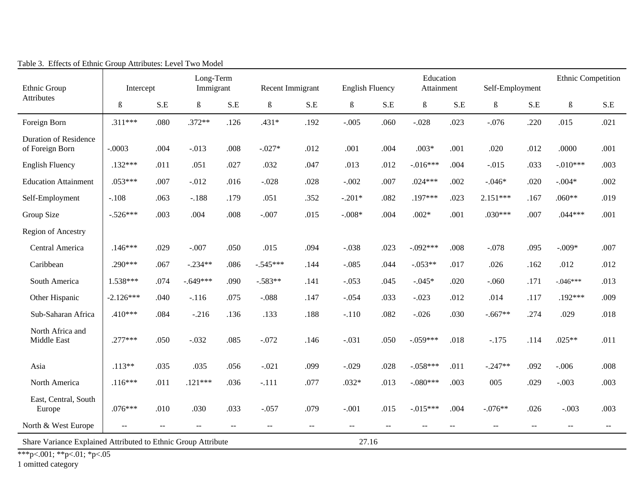| Ethnic Group                                    | Intercept                                                              |               | Long-Term<br>Immigrant |                          | Recent Immigrant     |                          | <b>English Fluency</b> |       | Education<br>Attainment |       | Self-Employment |                          | Ethnic Competition   |                          |
|-------------------------------------------------|------------------------------------------------------------------------|---------------|------------------------|--------------------------|----------------------|--------------------------|------------------------|-------|-------------------------|-------|-----------------|--------------------------|----------------------|--------------------------|
| Attributes                                      | $\boldsymbol{\beta}$                                                   | S.E           | $\boldsymbol{\beta}$   | $S.E$                    | $\boldsymbol{\beta}$ | $S.E$                    | $\boldsymbol{\beta}$   | S.E   | $\boldsymbol{\beta}$    | $S.E$ | $\beta$         | S.E                      | $\boldsymbol{\beta}$ | S.E                      |
| Foreign Born                                    | $.311***$                                                              | .080          | $.372**$               | .126                     | $.431*$              | .192                     | $-.005$                | .060  | $-.028$                 | .023  | $-.076$         | .220                     | .015                 | .021                     |
| <b>Duration of Residence</b><br>of Foreign Born | $-.0003$                                                               | .004          | $-.013$                | .008                     | $-.027*$             | .012                     | .001                   | .004  | $.003*$                 | .001  | .020            | .012                     | .0000                | .001                     |
| <b>English Fluency</b>                          | $.132***$                                                              | .011          | .051                   | .027                     | .032                 | .047                     | .013                   | .012  | $-.016***$              | .004  | $-.015$         | .033                     | $-.010***$           | .003                     |
| <b>Education Attainment</b>                     | $.053***$                                                              | .007          | $-.012$                | .016                     | $-.028$              | .028                     | $-.002$                | .007  | $.024***$               | .002  | $-.046*$        | .020                     | $-.004*$             | .002                     |
| Self-Employment                                 | $-.108$                                                                | .063          | $-.188$                | .179                     | .051                 | .352                     | $-.201*$               | .082  | .197***                 | .023  | $2.151***$      | .167                     | $.060**$             | .019                     |
| Group Size                                      | $-.526***$                                                             | .003          | .004                   | .008                     | $-.007$              | .015                     | $-.008*$               | .004  | $.002*$                 | .001  | $.030***$       | .007                     | $.044***$            | .001                     |
| Region of Ancestry                              |                                                                        |               |                        |                          |                      |                          |                        |       |                         |       |                 |                          |                      |                          |
| Central America                                 | $.146***$                                                              | .029          | $-.007$                | .050                     | .015                 | .094                     | $-.038$                | .023  | $-.092***$              | .008  | $-.078$         | .095                     | $-.009*$             | .007                     |
| Caribbean                                       | $.290***$                                                              | .067          | $-.234**$              | .086                     | $-0.545***$          | .144                     | $-.085$                | .044  | $-.053**$               | .017  | .026            | .162                     | .012                 | .012                     |
| South America                                   | $1.538***$                                                             | .074          | $-.649***$             | .090                     | $-.583**$            | .141                     | $-.053$                | .045  | $-.045*$                | .020  | $-.060$         | .171                     | $-.046***$           | .013                     |
| Other Hispanic                                  | $-2.126***$                                                            | .040          | $-.116$                | .075                     | $-.088$              | .147                     | $-.054$                | .033  | $-.023$                 | .012  | .014            | .117                     | .192***              | .009                     |
| Sub-Saharan Africa                              | .410***                                                                | .084          | $-.216$                | .136                     | .133                 | .188                     | $-.110$                | .082  | $-.026$                 | .030  | $-.667**$       | .274                     | .029                 | .018                     |
| North Africa and<br>Middle East                 | $.277***$                                                              | .050          | $-.032$                | .085                     | $-.072$              | .146                     | $-.031$                | .050  | $-.059***$              | .018  | $-.175$         | .114                     | $.025**$             | .011                     |
| Asia                                            | $.113**$                                                               | .035          | .035                   | .056                     | $-.021$              | .099                     | $-.029$                | .028  | $-.058***$              | .011  | $-.247**$       | .092                     | $-.006$              | .008                     |
| North America                                   | $.116***$                                                              | .011          | $.121***$              | .036                     | $-.111$              | .077                     | $.032*$                | .013  | $-.080***$              | .003  | 005             | .029                     | $-.003$              | .003                     |
| East, Central, South<br>Europe                  | $.076***$                                                              | .010          | .030                   | .033                     | $-.057$              | .079                     | $-.001$                | .015  | $-.015***$              | .004  | $-.076**$       | .026                     | $-.003$              | .003                     |
| North & West Europe                             | $\overline{a}$                                                         | $\sim$ $\sim$ | $\sim$ $\sim$          | $\overline{\phantom{a}}$ | $\sim$               | $\overline{\phantom{a}}$ | $-$                    | $- -$ | $\sim$ $\sim$           | $-$   | $\mathbf{u}$    | $\overline{\phantom{m}}$ | $- -$                | $\overline{\phantom{m}}$ |
|                                                 | 27.16<br>Share Variance Explained Attributed to Ethnic Group Attribute |               |                        |                          |                      |                          |                        |       |                         |       |                 |                          |                      |                          |

Table 3. Effects of Ethnic Group Attributes: Level Two Model

\*\*\*p<.001; \*\*p<.01; \*p<.05

1 omitted category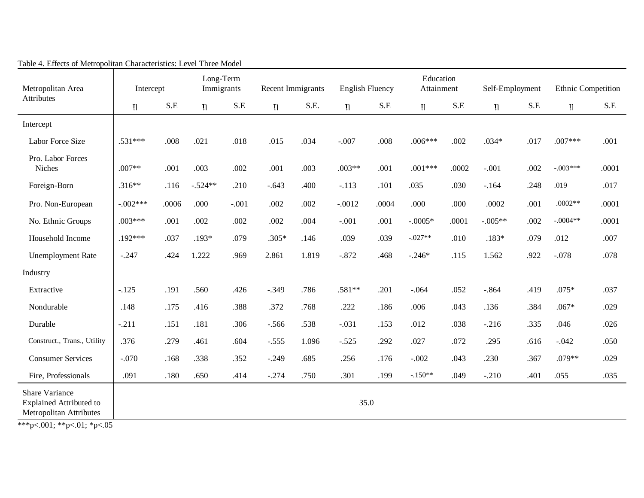| Metropolitan Area                                                                                                                | Intercept  |       | Long-Term<br>Immigrants |         | Recent Immigrants |       | <b>English Fluency</b> |       | Education<br>Attainment |       | Self-Employment |      | Ethnic Competition |       |
|----------------------------------------------------------------------------------------------------------------------------------|------------|-------|-------------------------|---------|-------------------|-------|------------------------|-------|-------------------------|-------|-----------------|------|--------------------|-------|
| Attributes                                                                                                                       | $\eta$     | S.E   | $\eta$                  | S.E     | $\eta$            | S.E.  | $\eta$                 | S.E   | $\eta$                  | S.E   | $\eta$          | S.E  | $\eta$             | S.E   |
| Intercept                                                                                                                        |            |       |                         |         |                   |       |                        |       |                         |       |                 |      |                    |       |
| Labor Force Size                                                                                                                 | $.531***$  | .008  | .021                    | .018    | .015              | .034  | $-.007$                | .008  | $.006***$               | .002  | $.034*$         | .017 | $.007***$          | .001  |
| Pro. Labor Forces<br><b>Niches</b>                                                                                               | $.007**$   | .001  | .003                    | .002    | .001              | .003  | $.003**$               | .001  | $.001***$               | .0002 | $-.001$         | .002 | $-.003***$         | .0001 |
| Foreign-Born                                                                                                                     | $.316**$   | .116  | $-.524**$               | .210    | $-.643$           | .400  | $-.113$                | .101  | .035                    | .030  | $-.164$         | .248 | .019               | .017  |
| Pro. Non-European                                                                                                                | $-.002***$ | .0006 | .000                    | $-.001$ | .002              | .002  | $-.0012$               | .0004 | .000                    | .000  | .0002           | .001 | $.0002**$          | .0001 |
| No. Ethnic Groups                                                                                                                | $.003***$  | .001  | .002                    | .002    | .002              | .004  | $-.001$                | .001  | $-.0005*$               | .0001 | $-.005**$       | .002 | $-.0004**$         | .0001 |
| Household Income                                                                                                                 | $.192***$  | .037  | $.193*$                 | .079    | $.305*$           | .146  | .039                   | .039  | $-.027**$               | .010  | $.183*$         | .079 | .012               | .007  |
| <b>Unemployment Rate</b>                                                                                                         | $-.247$    | .424  | 1.222                   | .969    | 2.861             | 1.819 | $-.872$                | .468  | $-.246*$                | .115  | 1.562           | .922 | $-.078$            | .078  |
| Industry                                                                                                                         |            |       |                         |         |                   |       |                        |       |                         |       |                 |      |                    |       |
| Extractive                                                                                                                       | $-.125$    | .191  | .560                    | .426    | $-.349$           | .786  | .581**                 | .201  | $-.064$                 | .052  | $-.864$         | .419 | $.075*$            | .037  |
| Nondurable                                                                                                                       | .148       | .175  | .416                    | .388    | .372              | .768  | .222                   | .186  | .006                    | .043  | .136            | .384 | $.067*$            | .029  |
| Durable                                                                                                                          | $-211$     | .151  | .181                    | .306    | $-.566$           | .538  | $-.031$                | .153  | .012                    | .038  | $-.216$         | .335 | .046               | .026  |
| Construct., Trans., Utility                                                                                                      | .376       | .279  | .461                    | .604    | $-.555$           | 1.096 | $-.525$                | .292  | .027                    | .072  | .295            | .616 | $-.042$            | .050  |
| <b>Consumer Services</b>                                                                                                         | $-.070$    | .168  | .338                    | .352    | $-.249$           | .685  | .256                   | .176  | $-.002$                 | .043  | .230            | .367 | .079**             | .029  |
| Fire, Professionals                                                                                                              | .091       | .180  | .650                    | .414    | $-.274$           | .750  | .301                   | .199  | $-.150**$               | .049  | $-.210$         | .401 | .055               | .035  |
| <b>Share Variance</b><br><b>Explained Attributed to</b><br><b>Metropolitan Attributes</b><br>$*** - 001$ , $* * - 01$ , $* - 05$ |            |       |                         |         |                   |       | 35.0                   |       |                         |       |                 |      |                    |       |

# Table 4. Effects of Metropolitan Characteristics: Level Three Model

\*\*\*p<.001; \*\*p<.01; \*p<.05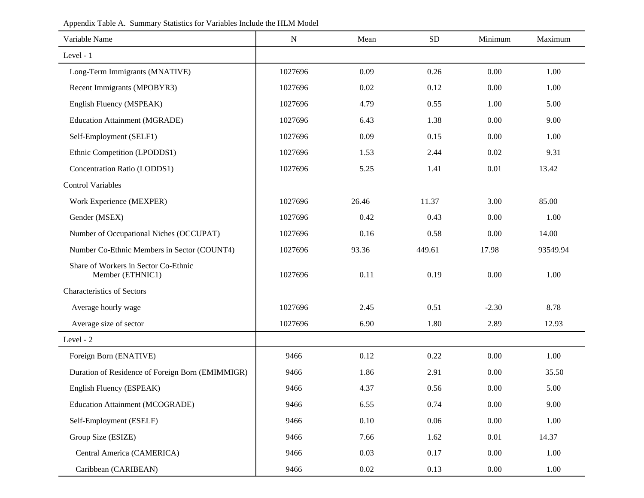| Variable Name                                            | $\mathbf N$ | Mean     | <b>SD</b> | Minimum | Maximum  |
|----------------------------------------------------------|-------------|----------|-----------|---------|----------|
| Level - 1                                                |             |          |           |         |          |
| Long-Term Immigrants (MNATIVE)                           | 1027696     | 0.09     | 0.26      | 0.00    | 1.00     |
| Recent Immigrants (MPOBYR3)                              | 1027696     | 0.02     | 0.12      | 0.00    | 1.00     |
| English Fluency (MSPEAK)                                 | 1027696     | 4.79     | 0.55      | 1.00    | 5.00     |
| <b>Education Attainment (MGRADE)</b>                     | 1027696     | 6.43     | 1.38      | 0.00    | 9.00     |
| Self-Employment (SELF1)                                  | 1027696     | 0.09     | 0.15      | 0.00    | 1.00     |
| Ethnic Competition (LPODDS1)                             | 1027696     | 1.53     | 2.44      | 0.02    | 9.31     |
| Concentration Ratio (LODDS1)                             | 1027696     | 5.25     | 1.41      | 0.01    | 13.42    |
| <b>Control Variables</b>                                 |             |          |           |         |          |
| Work Experience (MEXPER)                                 | 1027696     | 26.46    | 11.37     | 3.00    | 85.00    |
| Gender (MSEX)                                            | 1027696     | 0.42     | 0.43      | 0.00    | 1.00     |
| Number of Occupational Niches (OCCUPAT)                  | 1027696     | 0.16     | 0.58      | 0.00    | 14.00    |
| Number Co-Ethnic Members in Sector (COUNT4)              | 1027696     | 93.36    | 449.61    | 17.98   | 93549.94 |
| Share of Workers in Sector Co-Ethnic<br>Member (ETHNIC1) | 1027696     | 0.11     | 0.19      | 0.00    | 1.00     |
| <b>Characteristics of Sectors</b>                        |             |          |           |         |          |
| Average hourly wage                                      | 1027696     | 2.45     | 0.51      | $-2.30$ | 8.78     |
| Average size of sector                                   | 1027696     | 6.90     | 1.80      | 2.89    | 12.93    |
| Level - 2                                                |             |          |           |         |          |
| Foreign Born (ENATIVE)                                   | 9466        | 0.12     | 0.22      | 0.00    | 1.00     |
| Duration of Residence of Foreign Born (EMIMMIGR)         | 9466        | 1.86     | 2.91      | 0.00    | 35.50    |
| English Fluency (ESPEAK)                                 | 9466        | 4.37     | 0.56      | 0.00    | 5.00     |
| <b>Education Attainment (MCOGRADE)</b>                   | 9466        | 6.55     | 0.74      | 0.00    | 9.00     |
| Self-Employment (ESELF)                                  | 9466        | 0.10     | 0.06      | 0.00    | 1.00     |
| Group Size (ESIZE)                                       | 9466        | 7.66     | 1.62      | 0.01    | 14.37    |
| Central America (CAMERICA)                               | 9466        | 0.03     | 0.17      | 0.00    | 1.00     |
| Caribbean (CARIBEAN)                                     | 9466        | $0.02\,$ | 0.13      | 0.00    | 1.00     |

Appendix Table A. Summary Statistics for Variables Include the HLM Model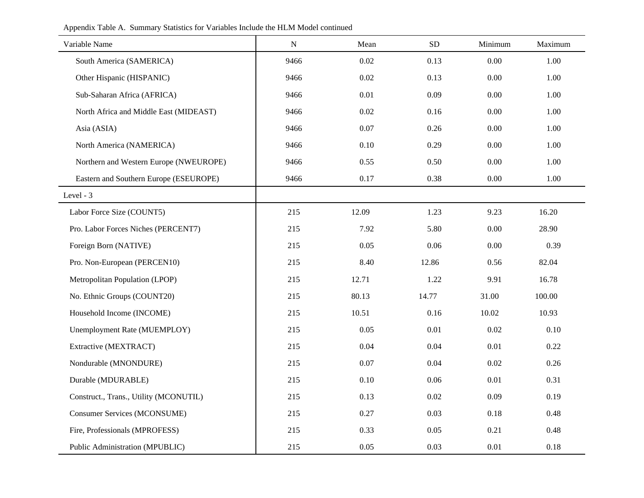|  | Appendix Table A. Summary Statistics for Variables Include the HLM Model continued |  |
|--|------------------------------------------------------------------------------------|--|
|  |                                                                                    |  |

| Variable Name                          | ${\bf N}$ | Mean  | SD    | Minimum | Maximum |
|----------------------------------------|-----------|-------|-------|---------|---------|
| South America (SAMERICA)               | 9466      | 0.02  | 0.13  | 0.00    | 1.00    |
| Other Hispanic (HISPANIC)              | 9466      | 0.02  | 0.13  | 0.00    | 1.00    |
| Sub-Saharan Africa (AFRICA)            | 9466      | 0.01  | 0.09  | 0.00    | 1.00    |
| North Africa and Middle East (MIDEAST) | 9466      | 0.02  | 0.16  | 0.00    | 1.00    |
| Asia (ASIA)                            | 9466      | 0.07  | 0.26  | 0.00    | 1.00    |
| North America (NAMERICA)               | 9466      | 0.10  | 0.29  | 0.00    | 1.00    |
| Northern and Western Europe (NWEUROPE) | 9466      | 0.55  | 0.50  | 0.00    | 1.00    |
| Eastern and Southern Europe (ESEUROPE) | 9466      | 0.17  | 0.38  | 0.00    | 1.00    |
| Level - 3                              |           |       |       |         |         |
| Labor Force Size (COUNT5)              | 215       | 12.09 | 1.23  | 9.23    | 16.20   |
| Pro. Labor Forces Niches (PERCENT7)    | 215       | 7.92  | 5.80  | 0.00    | 28.90   |
| Foreign Born (NATIVE)                  | 215       | 0.05  | 0.06  | 0.00    | 0.39    |
| Pro. Non-European (PERCEN10)           | 215       | 8.40  | 12.86 | 0.56    | 82.04   |
| Metropolitan Population (LPOP)         | 215       | 12.71 | 1.22  | 9.91    | 16.78   |
| No. Ethnic Groups (COUNT20)            | 215       | 80.13 | 14.77 | 31.00   | 100.00  |
| Household Income (INCOME)              | 215       | 10.51 | 0.16  | 10.02   | 10.93   |
| Unemployment Rate (MUEMPLOY)           | 215       | 0.05  | 0.01  | 0.02    | 0.10    |
| Extractive (MEXTRACT)                  | 215       | 0.04  | 0.04  | 0.01    | 0.22    |
| Nondurable (MNONDURE)                  | 215       | 0.07  | 0.04  | 0.02    | 0.26    |
| Durable (MDURABLE)                     | 215       | 0.10  | 0.06  | 0.01    | 0.31    |
| Construct., Trans., Utility (MCONUTIL) | 215       | 0.13  | 0.02  | 0.09    | 0.19    |
| <b>Consumer Services (MCONSUME)</b>    | 215       | 0.27  | 0.03  | 0.18    | 0.48    |
| Fire, Professionals (MPROFESS)         | 215       | 0.33  | 0.05  | 0.21    | 0.48    |
| Public Administration (MPUBLIC)        | 215       | 0.05  | 0.03  | 0.01    | 0.18    |